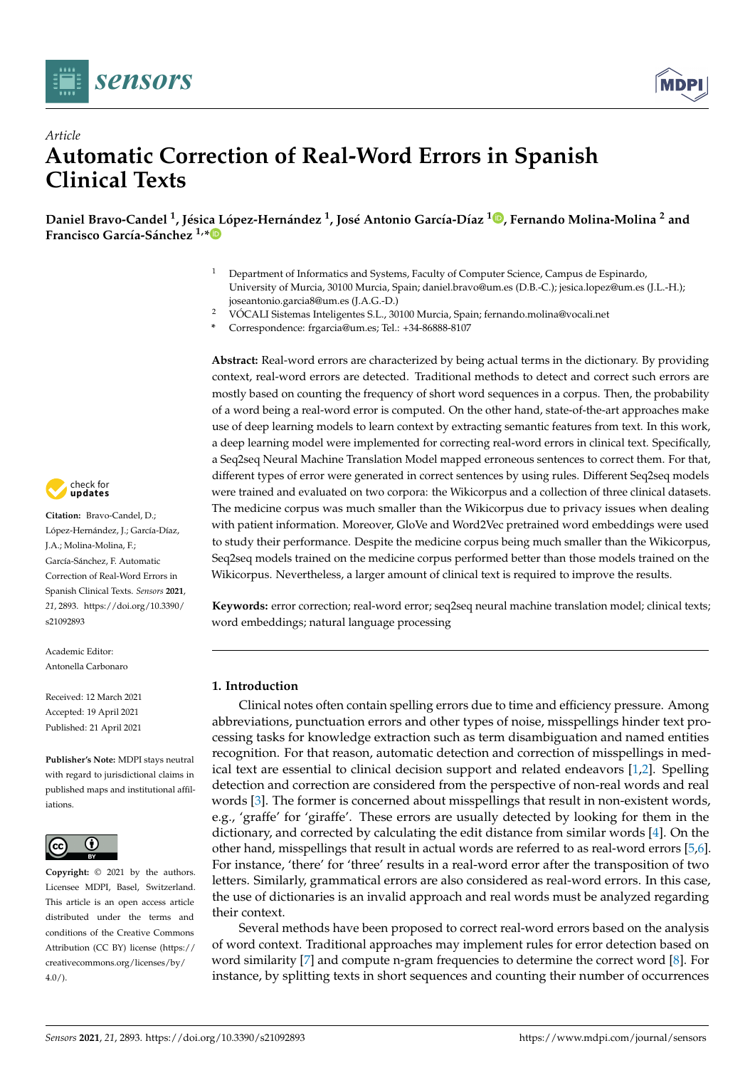



# *Article* **Automatic Correction of Real-Word Errors in Spanish Clinical Texts**

Daniel Bravo-Candel <sup>[1](https://orcid.org/0000-0002-3651-2660)</sup>, Jésica López-Hernández <sup>1</sup>, José Antonio García-Díaz <sup>1</sup>®, Fernando Molina-Molina <sup>2</sup> and **Francisco García-Sánchez 1,[\\*](https://orcid.org/0000-0003-2667-5359)**

- <sup>1</sup> Department of Informatics and Systems, Faculty of Computer Science, Campus de Espinardo, University of Murcia, 30100 Murcia, Spain; daniel.bravo@um.es (D.B.-C.); jesica.lopez@um.es (J.L.-H.); joseantonio.garcia8@um.es (J.A.G.-D.)
- <sup>2</sup> VÓCALI Sistemas Inteligentes S.L., 30100 Murcia, Spain; fernando.molina@vocali.net
- **\*** Correspondence: frgarcia@um.es; Tel.: +34-86888-8107

**Abstract:** Real-word errors are characterized by being actual terms in the dictionary. By providing context, real-word errors are detected. Traditional methods to detect and correct such errors are mostly based on counting the frequency of short word sequences in a corpus. Then, the probability of a word being a real-word error is computed. On the other hand, state-of-the-art approaches make use of deep learning models to learn context by extracting semantic features from text. In this work, a deep learning model were implemented for correcting real-word errors in clinical text. Specifically, a Seq2seq Neural Machine Translation Model mapped erroneous sentences to correct them. For that, different types of error were generated in correct sentences by using rules. Different Seq2seq models were trained and evaluated on two corpora: the Wikicorpus and a collection of three clinical datasets. The medicine corpus was much smaller than the Wikicorpus due to privacy issues when dealing with patient information. Moreover, GloVe and Word2Vec pretrained word embeddings were used to study their performance. Despite the medicine corpus being much smaller than the Wikicorpus, Seq2seq models trained on the medicine corpus performed better than those models trained on the Wikicorpus. Nevertheless, a larger amount of clinical text is required to improve the results.

**Keywords:** error correction; real-word error; seq2seq neural machine translation model; clinical texts; word embeddings; natural language processing

## **1. Introduction**

Clinical notes often contain spelling errors due to time and efficiency pressure. Among abbreviations, punctuation errors and other types of noise, misspellings hinder text processing tasks for knowledge extraction such as term disambiguation and named entities recognition. For that reason, automatic detection and correction of misspellings in medical text are essential to clinical decision support and related endeavors [\[1](#page-24-0)[,2\]](#page-24-1). Spelling detection and correction are considered from the perspective of non-real words and real words [\[3\]](#page-24-2). The former is concerned about misspellings that result in non-existent words, e.g., 'graffe' for 'giraffe'. These errors are usually detected by looking for them in the dictionary, and corrected by calculating the edit distance from similar words [\[4\]](#page-24-3). On the other hand, misspellings that result in actual words are referred to as real-word errors [\[5](#page-24-4)[,6\]](#page-24-5). For instance, 'there' for 'three' results in a real-word error after the transposition of two letters. Similarly, grammatical errors are also considered as real-word errors. In this case, the use of dictionaries is an invalid approach and real words must be analyzed regarding their context.

Several methods have been proposed to correct real-word errors based on the analysis of word context. Traditional approaches may implement rules for error detection based on word similarity [\[7\]](#page-24-6) and compute n-gram frequencies to determine the correct word [\[8\]](#page-24-7). For instance, by splitting texts in short sequences and counting their number of occurrences



**Citation:** Bravo-Candel, D.; López-Hernández, J.; García-Díaz, J.A.; Molina-Molina, F.; García-Sánchez, F. Automatic Correction of Real-Word Errors in Spanish Clinical Texts. *Sensors* **2021**, *21*, 2893. [https://doi.org/10.3390/](https://doi.org/10.3390/s21092893) [s21092893](https://doi.org/10.3390/s21092893)

Academic Editor: Antonella Carbonaro

Received: 12 March 2021 Accepted: 19 April 2021 Published: 21 April 2021

**Publisher's Note:** MDPI stays neutral with regard to jurisdictional claims in published maps and institutional affiliations.



**Copyright:** © 2021 by the authors. Licensee MDPI, Basel, Switzerland. This article is an open access article distributed under the terms and conditions of the Creative Commons Attribution (CC BY) license (https:/[/](https://creativecommons.org/licenses/by/4.0/) [creativecommons.org/licenses/by/](https://creativecommons.org/licenses/by/4.0/)  $4.0/$ ).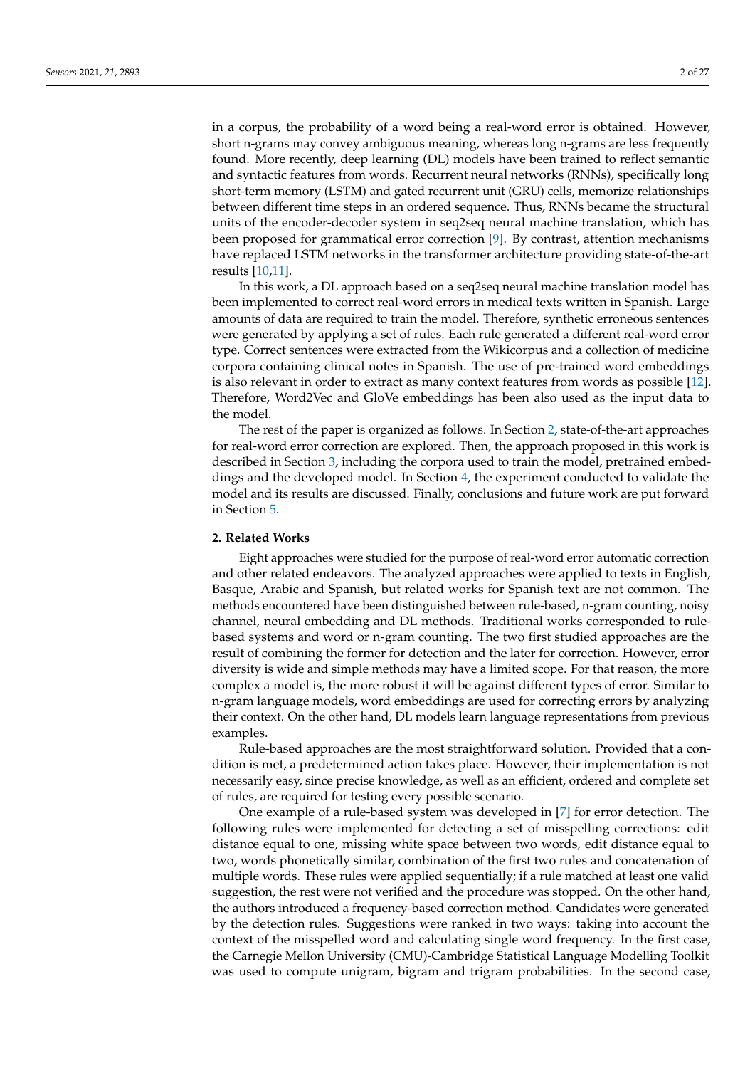in a corpus, the probability of a word being a real-word error is obtained. However, short n-grams may convey ambiguous meaning, whereas long n-grams are less frequently found. More recently, deep learning (DL) models have been trained to reflect semantic and syntactic features from words. Recurrent neural networks (RNNs), specifically long short-term memory (LSTM) and gated recurrent unit (GRU) cells, memorize relationships between different time steps in an ordered sequence. Thus, RNNs became the structural units of the encoder-decoder system in seq2seq neural machine translation, which has been proposed for grammatical error correction [\[9\]](#page-24-8). By contrast, attention mechanisms have replaced LSTM networks in the transformer architecture providing state-of-the-art results [\[10,](#page-24-9)[11\]](#page-24-10).

In this work, a DL approach based on a seq2seq neural machine translation model has been implemented to correct real-word errors in medical texts written in Spanish. Large amounts of data are required to train the model. Therefore, synthetic erroneous sentences were generated by applying a set of rules. Each rule generated a different real-word error type. Correct sentences were extracted from the Wikicorpus and a collection of medicine corpora containing clinical notes in Spanish. The use of pre-trained word embeddings is also relevant in order to extract as many context features from words as possible [\[12\]](#page-24-11). Therefore, Word2Vec and GloVe embeddings has been also used as the input data to the model.

The rest of the paper is organized as follows. In Section [2,](#page-1-0) state-of-the-art approaches for real-word error correction are explored. Then, the approach proposed in this work is described in Section [3,](#page-5-0) including the corpora used to train the model, pretrained embeddings and the developed model. In Section [4,](#page-14-0) the experiment conducted to validate the model and its results are discussed. Finally, conclusions and future work are put forward in Section [5.](#page-21-0)

#### <span id="page-1-0"></span>**2. Related Works**

Eight approaches were studied for the purpose of real-word error automatic correction and other related endeavors. The analyzed approaches were applied to texts in English, Basque, Arabic and Spanish, but related works for Spanish text are not common. The methods encountered have been distinguished between rule-based, n-gram counting, noisy channel, neural embedding and DL methods. Traditional works corresponded to rulebased systems and word or n-gram counting. The two first studied approaches are the result of combining the former for detection and the later for correction. However, error diversity is wide and simple methods may have a limited scope. For that reason, the more complex a model is, the more robust it will be against different types of error. Similar to n-gram language models, word embeddings are used for correcting errors by analyzing their context. On the other hand, DL models learn language representations from previous examples.

Rule-based approaches are the most straightforward solution. Provided that a condition is met, a predetermined action takes place. However, their implementation is not necessarily easy, since precise knowledge, as well as an efficient, ordered and complete set of rules, are required for testing every possible scenario.

One example of a rule-based system was developed in [\[7\]](#page-24-6) for error detection. The following rules were implemented for detecting a set of misspelling corrections: edit distance equal to one, missing white space between two words, edit distance equal to two, words phonetically similar, combination of the first two rules and concatenation of multiple words. These rules were applied sequentially; if a rule matched at least one valid suggestion, the rest were not verified and the procedure was stopped. On the other hand, the authors introduced a frequency-based correction method. Candidates were generated by the detection rules. Suggestions were ranked in two ways: taking into account the context of the misspelled word and calculating single word frequency. In the first case, the Carnegie Mellon University (CMU)-Cambridge Statistical Language Modelling Toolkit was used to compute unigram, bigram and trigram probabilities. In the second case,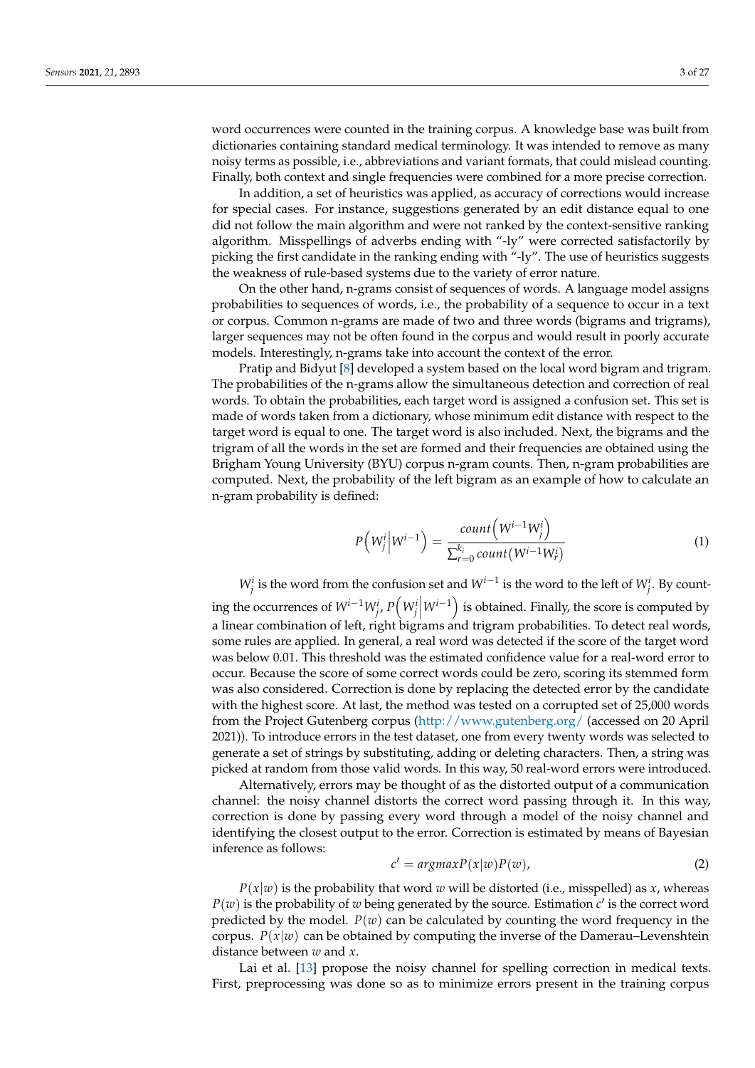word occurrences were counted in the training corpus. A knowledge base was built from dictionaries containing standard medical terminology. It was intended to remove as many noisy terms as possible, i.e., abbreviations and variant formats, that could mislead counting. Finally, both context and single frequencies were combined for a more precise correction.

In addition, a set of heuristics was applied, as accuracy of corrections would increase for special cases. For instance, suggestions generated by an edit distance equal to one did not follow the main algorithm and were not ranked by the context-sensitive ranking algorithm. Misspellings of adverbs ending with "-ly" were corrected satisfactorily by picking the first candidate in the ranking ending with "-ly". The use of heuristics suggests the weakness of rule-based systems due to the variety of error nature.

On the other hand, n-grams consist of sequences of words. A language model assigns probabilities to sequences of words, i.e., the probability of a sequence to occur in a text or corpus. Common n-grams are made of two and three words (bigrams and trigrams), larger sequences may not be often found in the corpus and would result in poorly accurate models. Interestingly, n-grams take into account the context of the error.

Pratip and Bidyut [\[8\]](#page-24-7) developed a system based on the local word bigram and trigram. The probabilities of the n-grams allow the simultaneous detection and correction of real words. To obtain the probabilities, each target word is assigned a confusion set. This set is made of words taken from a dictionary, whose minimum edit distance with respect to the target word is equal to one. The target word is also included. Next, the bigrams and the trigram of all the words in the set are formed and their frequencies are obtained using the Brigham Young University (BYU) corpus n-gram counts. Then, n-gram probabilities are computed. Next, the probability of the left bigram as an example of how to calculate an n-gram probability is defined:

$$
P\left(W_j^i\middle|W^{i-1}\right) = \frac{count\left(W^{i-1}W_j^i\right)}{\sum_{r=0}^{k_i} count\left(W^{i-1}W_r^i\right)}
$$
\n<sup>(1)</sup>

 $W_j^i$  is the word from the confusion set and  $W^{i-1}$  is the word to the left of  $W_j^i$ . By counting the occurrences of  $W^{i-1}W^i_j$ ,  $P\left(W^i_j\middle| W^{i-1}\right)$  is obtained. Finally, the score is computed by a linear combination of left, right bigrams and trigram probabilities. To detect real words, some rules are applied. In general, a real word was detected if the score of the target word was below 0.01. This threshold was the estimated confidence value for a real-word error to occur. Because the score of some correct words could be zero, scoring its stemmed form was also considered. Correction is done by replacing the detected error by the candidate with the highest score. At last, the method was tested on a corrupted set of 25,000 words from the Project Gutenberg corpus [\(http://www.gutenberg.org/](http://www.gutenberg.org/) (accessed on 20 April 2021)). To introduce errors in the test dataset, one from every twenty words was selected to generate a set of strings by substituting, adding or deleting characters. Then, a string was picked at random from those valid words. In this way, 50 real-word errors were introduced.

Alternatively, errors may be thought of as the distorted output of a communication channel: the noisy channel distorts the correct word passing through it. In this way, correction is done by passing every word through a model of the noisy channel and identifying the closest output to the error. Correction is estimated by means of Bayesian inference as follows:

$$
c' = argmax P(x|w)P(w),
$$
\n(2)

 $P(x|w)$  is the probability that word *w* will be distorted (i.e., misspelled) as *x*, whereas  $P(w)$  is the probability of *w* being generated by the source. Estimation  $c'$  is the correct word predicted by the model. *P*(*w*) can be calculated by counting the word frequency in the corpus.  $P(x|w)$  can be obtained by computing the inverse of the Damerau–Levenshtein distance between *w* and *x*.

Lai et al. [\[13\]](#page-24-12) propose the noisy channel for spelling correction in medical texts. First, preprocessing was done so as to minimize errors present in the training corpus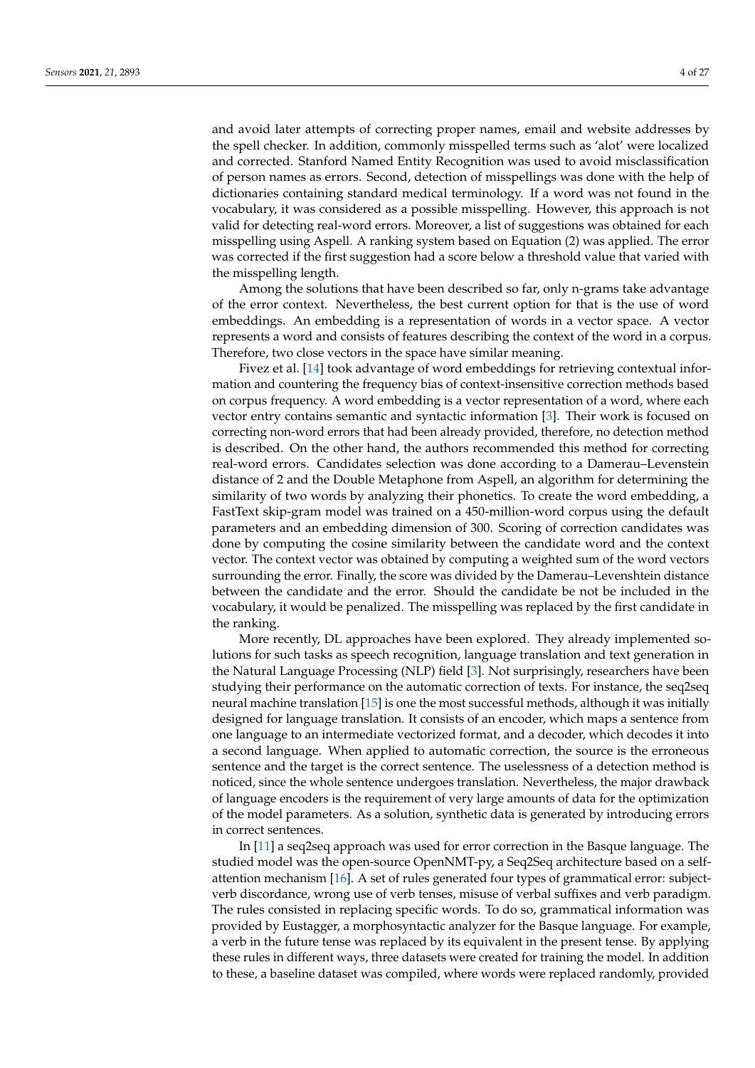and avoid later attempts of correcting proper names, email and website addresses by the spell checker. In addition, commonly misspelled terms such as 'alot' were localized and corrected. Stanford Named Entity Recognition was used to avoid misclassification of person names as errors. Second, detection of misspellings was done with the help of dictionaries containing standard medical terminology. If a word was not found in the vocabulary, it was considered as a possible misspelling. However, this approach is not valid for detecting real-word errors. Moreover, a list of suggestions was obtained for each misspelling using Aspell. A ranking system based on Equation (2) was applied. The error was corrected if the first suggestion had a score below a threshold value that varied with the misspelling length.

Among the solutions that have been described so far, only n-grams take advantage of the error context. Nevertheless, the best current option for that is the use of word embeddings. An embedding is a representation of words in a vector space. A vector represents a word and consists of features describing the context of the word in a corpus. Therefore, two close vectors in the space have similar meaning.

Fivez et al. [\[14\]](#page-24-13) took advantage of word embeddings for retrieving contextual information and countering the frequency bias of context-insensitive correction methods based on corpus frequency. A word embedding is a vector representation of a word, where each vector entry contains semantic and syntactic information [\[3\]](#page-24-2). Their work is focused on correcting non-word errors that had been already provided, therefore, no detection method is described. On the other hand, the authors recommended this method for correcting real-word errors. Candidates selection was done according to a Damerau–Levenstein distance of 2 and the Double Metaphone from Aspell, an algorithm for determining the similarity of two words by analyzing their phonetics. To create the word embedding, a FastText skip-gram model was trained on a 450-million-word corpus using the default parameters and an embedding dimension of 300. Scoring of correction candidates was done by computing the cosine similarity between the candidate word and the context vector. The context vector was obtained by computing a weighted sum of the word vectors surrounding the error. Finally, the score was divided by the Damerau–Levenshtein distance between the candidate and the error. Should the candidate be not be included in the vocabulary, it would be penalized. The misspelling was replaced by the first candidate in the ranking.

More recently, DL approaches have been explored. They already implemented solutions for such tasks as speech recognition, language translation and text generation in the Natural Language Processing (NLP) field [\[3\]](#page-24-2). Not surprisingly, researchers have been studying their performance on the automatic correction of texts. For instance, the seq2seq neural machine translation [\[15\]](#page-25-0) is one the most successful methods, although it was initially designed for language translation. It consists of an encoder, which maps a sentence from one language to an intermediate vectorized format, and a decoder, which decodes it into a second language. When applied to automatic correction, the source is the erroneous sentence and the target is the correct sentence. The uselessness of a detection method is noticed, since the whole sentence undergoes translation. Nevertheless, the major drawback of language encoders is the requirement of very large amounts of data for the optimization of the model parameters. As a solution, synthetic data is generated by introducing errors in correct sentences.

In [\[11\]](#page-24-10) a seq2seq approach was used for error correction in the Basque language. The studied model was the open-source OpenNMT-py, a Seq2Seq architecture based on a selfattention mechanism [\[16\]](#page-25-1). A set of rules generated four types of grammatical error: subjectverb discordance, wrong use of verb tenses, misuse of verbal suffixes and verb paradigm. The rules consisted in replacing specific words. To do so, grammatical information was provided by Eustagger, a morphosyntactic analyzer for the Basque language. For example, a verb in the future tense was replaced by its equivalent in the present tense. By applying these rules in different ways, three datasets were created for training the model. In addition to these, a baseline dataset was compiled, where words were replaced randomly, provided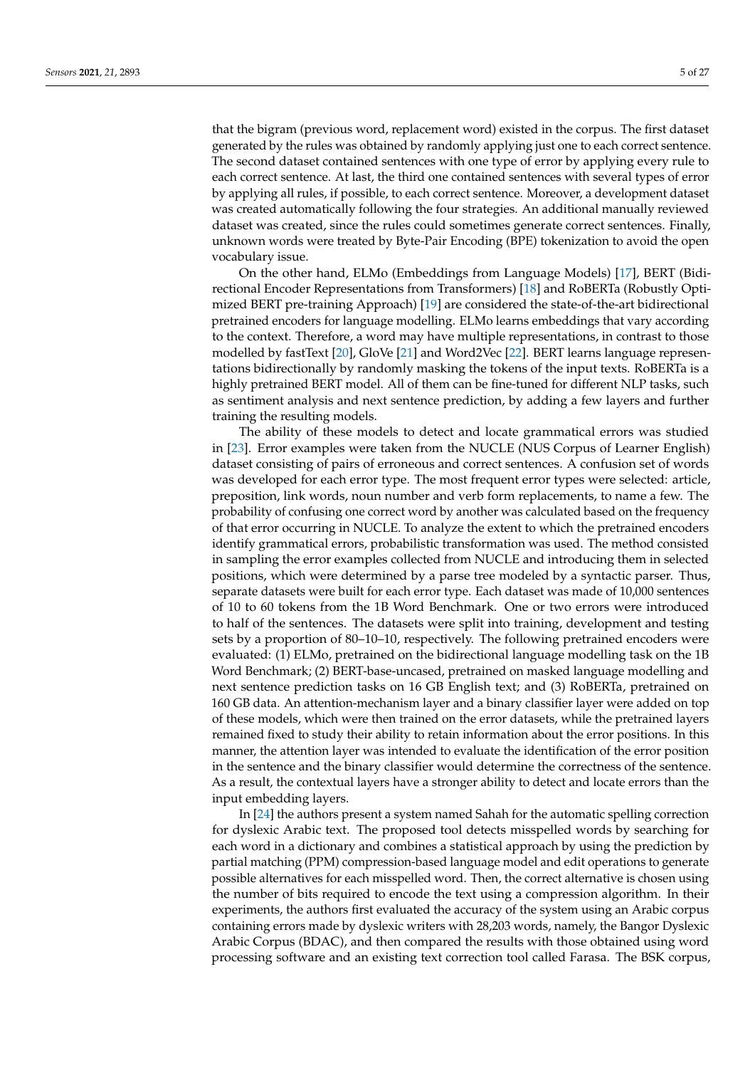that the bigram (previous word, replacement word) existed in the corpus. The first dataset generated by the rules was obtained by randomly applying just one to each correct sentence. The second dataset contained sentences with one type of error by applying every rule to each correct sentence. At last, the third one contained sentences with several types of error by applying all rules, if possible, to each correct sentence. Moreover, a development dataset was created automatically following the four strategies. An additional manually reviewed dataset was created, since the rules could sometimes generate correct sentences. Finally, unknown words were treated by Byte-Pair Encoding (BPE) tokenization to avoid the open vocabulary issue.

On the other hand, ELMo (Embeddings from Language Models) [\[17\]](#page-25-2), BERT (Bidirectional Encoder Representations from Transformers) [\[18\]](#page-25-3) and RoBERTa (Robustly Optimized BERT pre-training Approach) [\[19\]](#page-25-4) are considered the state-of-the-art bidirectional pretrained encoders for language modelling. ELMo learns embeddings that vary according to the context. Therefore, a word may have multiple representations, in contrast to those modelled by fastText [\[20\]](#page-25-5), GloVe [\[21\]](#page-25-6) and Word2Vec [\[22\]](#page-25-7). BERT learns language representations bidirectionally by randomly masking the tokens of the input texts. RoBERTa is a highly pretrained BERT model. All of them can be fine-tuned for different NLP tasks, such as sentiment analysis and next sentence prediction, by adding a few layers and further training the resulting models.

The ability of these models to detect and locate grammatical errors was studied in [\[23\]](#page-25-8). Error examples were taken from the NUCLE (NUS Corpus of Learner English) dataset consisting of pairs of erroneous and correct sentences. A confusion set of words was developed for each error type. The most frequent error types were selected: article, preposition, link words, noun number and verb form replacements, to name a few. The probability of confusing one correct word by another was calculated based on the frequency of that error occurring in NUCLE. To analyze the extent to which the pretrained encoders identify grammatical errors, probabilistic transformation was used. The method consisted in sampling the error examples collected from NUCLE and introducing them in selected positions, which were determined by a parse tree modeled by a syntactic parser. Thus, separate datasets were built for each error type. Each dataset was made of 10,000 sentences of 10 to 60 tokens from the 1B Word Benchmark. One or two errors were introduced to half of the sentences. The datasets were split into training, development and testing sets by a proportion of 80–10–10, respectively. The following pretrained encoders were evaluated: (1) ELMo, pretrained on the bidirectional language modelling task on the 1B Word Benchmark; (2) BERT-base-uncased, pretrained on masked language modelling and next sentence prediction tasks on 16 GB English text; and (3) RoBERTa, pretrained on 160 GB data. An attention-mechanism layer and a binary classifier layer were added on top of these models, which were then trained on the error datasets, while the pretrained layers remained fixed to study their ability to retain information about the error positions. In this manner, the attention layer was intended to evaluate the identification of the error position in the sentence and the binary classifier would determine the correctness of the sentence. As a result, the contextual layers have a stronger ability to detect and locate errors than the input embedding layers.

In [\[24\]](#page-25-9) the authors present a system named Sahah for the automatic spelling correction for dyslexic Arabic text. The proposed tool detects misspelled words by searching for each word in a dictionary and combines a statistical approach by using the prediction by partial matching (PPM) compression-based language model and edit operations to generate possible alternatives for each misspelled word. Then, the correct alternative is chosen using the number of bits required to encode the text using a compression algorithm. In their experiments, the authors first evaluated the accuracy of the system using an Arabic corpus containing errors made by dyslexic writers with 28,203 words, namely, the Bangor Dyslexic Arabic Corpus (BDAC), and then compared the results with those obtained using word processing software and an existing text correction tool called Farasa. The BSK corpus,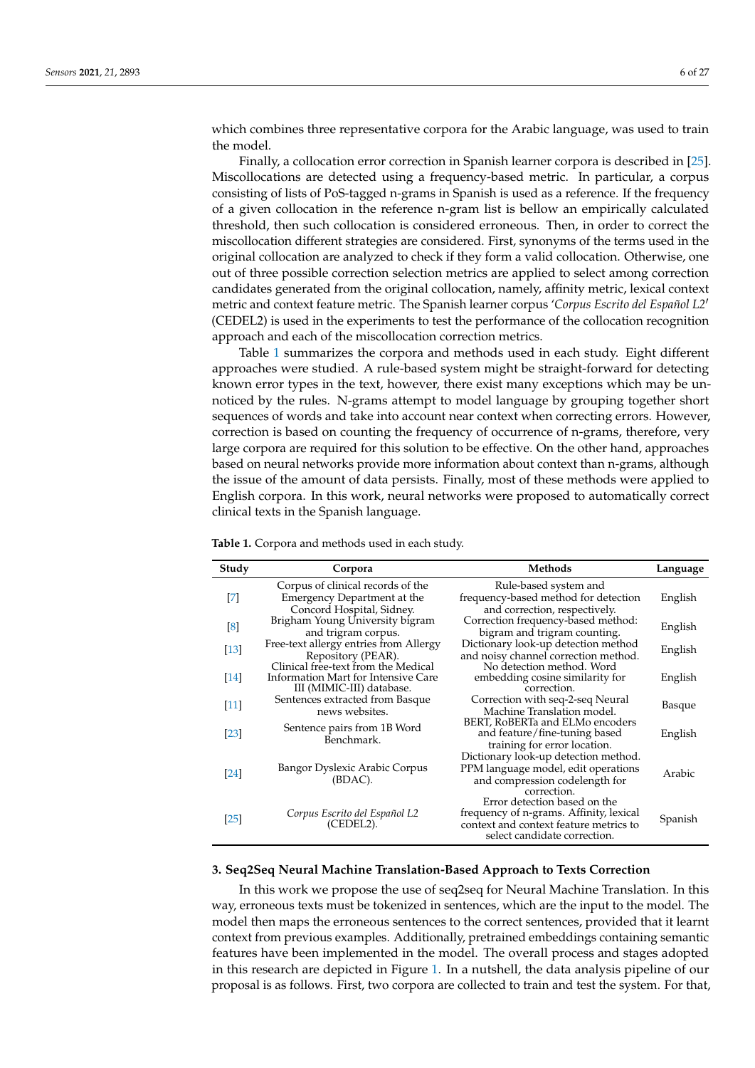which combines three representative corpora for the Arabic language, was used to train the model.

Finally, a collocation error correction in Spanish learner corpora is described in [\[25\]](#page-25-10). Miscollocations are detected using a frequency-based metric. In particular, a corpus consisting of lists of PoS-tagged n-grams in Spanish is used as a reference. If the frequency of a given collocation in the reference n-gram list is bellow an empirically calculated threshold, then such collocation is considered erroneous. Then, in order to correct the miscollocation different strategies are considered. First, synonyms of the terms used in the original collocation are analyzed to check if they form a valid collocation. Otherwise, one out of three possible correction selection metrics are applied to select among correction candidates generated from the original collocation, namely, affinity metric, lexical context metric and context feature metric. The Spanish learner corpus '*Corpus Escrito del Español L2*<sup>0</sup> (CEDEL2) is used in the experiments to test the performance of the collocation recognition approach and each of the miscollocation correction metrics.

Table [1](#page-5-1) summarizes the corpora and methods used in each study. Eight different approaches were studied. A rule-based system might be straight-forward for detecting known error types in the text, however, there exist many exceptions which may be unnoticed by the rules. N-grams attempt to model language by grouping together short sequences of words and take into account near context when correcting errors. However, correction is based on counting the frequency of occurrence of n-grams, therefore, very large corpora are required for this solution to be effective. On the other hand, approaches based on neural networks provide more information about context than n-grams, although the issue of the amount of data persists. Finally, most of these methods were applied to English corpora. In this work, neural networks were proposed to automatically correct clinical texts in the Spanish language.

| Study                                                                                                                                                                                                                                                                                                                                                                                                                                                                                                  | Corpora                                                                                             | <b>Methods</b>                                                                                                                                    | Language |
|--------------------------------------------------------------------------------------------------------------------------------------------------------------------------------------------------------------------------------------------------------------------------------------------------------------------------------------------------------------------------------------------------------------------------------------------------------------------------------------------------------|-----------------------------------------------------------------------------------------------------|---------------------------------------------------------------------------------------------------------------------------------------------------|----------|
| $[7] \centering% \includegraphics[width=1\textwidth]{images/TransY.pdf} \caption{The first two different values of $d=3$ and $d=4$ (left) and $d=5$ (right) and $d=6$ (right) and $d=6$ (right) and $d=6$ (right) and $d=6$ (right) and $d=6$ (right) and $d=6$ (right) and $d=6$ (right) and $d=6$ (right) and $d=6$ (right) and $d=6$ (right) and $d=6$ (right) and $d=6$ (right) and $d=6$ (right) and $d=6$ (right) and $d=6$ (right) and $d=6$ (right) and $d=6$ (right) and $d=6$ (right) and $$ | Corpus of clinical records of the<br>Emergency Department at the<br>Concord Hospital, Sidney.       | Rule-based system and<br>frequency-based method for detection<br>and correction, respectively.                                                    | English  |
| [8]                                                                                                                                                                                                                                                                                                                                                                                                                                                                                                    | Brigham Young University bigram<br>and trigram corpus.                                              | Correction frequency-based method:<br>bigram and trigram counting.                                                                                | English  |
| $[13]$                                                                                                                                                                                                                                                                                                                                                                                                                                                                                                 | Free-text allergy entries from Allergy<br>Repository (PEAR).<br>Clinical free-text from the Medical | Dictionary look-up detection method<br>and noisy channel correction method.<br>No detection method. Word                                          | English  |
| $\lceil 14 \rceil$                                                                                                                                                                                                                                                                                                                                                                                                                                                                                     | <b>Information Mart for Intensive Care</b><br>III (MIMIC-III) database.                             | embedding cosine similarity for<br>correction.                                                                                                    | English  |
| $[11]$                                                                                                                                                                                                                                                                                                                                                                                                                                                                                                 | Sentences extracted from Basque<br>news websites.                                                   | Correction with seq-2-seq Neural<br>Machine Translation model.                                                                                    | Basque   |
| [23]                                                                                                                                                                                                                                                                                                                                                                                                                                                                                                   | Sentence pairs from 1B Word<br>Benchmark.                                                           | BERT, RoBERTa and ELMo encoders<br>and feature/fine-tuning based<br>training for error location.                                                  | English  |
| $\left[24\right]$                                                                                                                                                                                                                                                                                                                                                                                                                                                                                      | Bangor Dyslexic Arabic Corpus<br>(BDAC).                                                            | Dictionary look-up detection method.<br>PPM language model, edit operations<br>and compression codelength for<br>correction.                      | Arabic   |
| [25]                                                                                                                                                                                                                                                                                                                                                                                                                                                                                                   | Corpus Escrito del Español L2<br>(CEDEL2).                                                          | Error detection based on the<br>frequency of n-grams. Affinity, lexical<br>context and context feature metrics to<br>select candidate correction. | Spanish  |

<span id="page-5-1"></span>**Table 1.** Corpora and methods used in each study.

#### <span id="page-5-0"></span>**3. Seq2Seq Neural Machine Translation-Based Approach to Texts Correction**

In this work we propose the use of seq2seq for Neural Machine Translation. In this way, erroneous texts must be tokenized in sentences, which are the input to the model. The model then maps the erroneous sentences to the correct sentences, provided that it learnt context from previous examples. Additionally, pretrained embeddings containing semantic features have been implemented in the model. The overall process and stages adopted in this research are depicted in Figure [1.](#page-6-0) In a nutshell, the data analysis pipeline of our proposal is as follows. First, two corpora are collected to train and test the system. For that,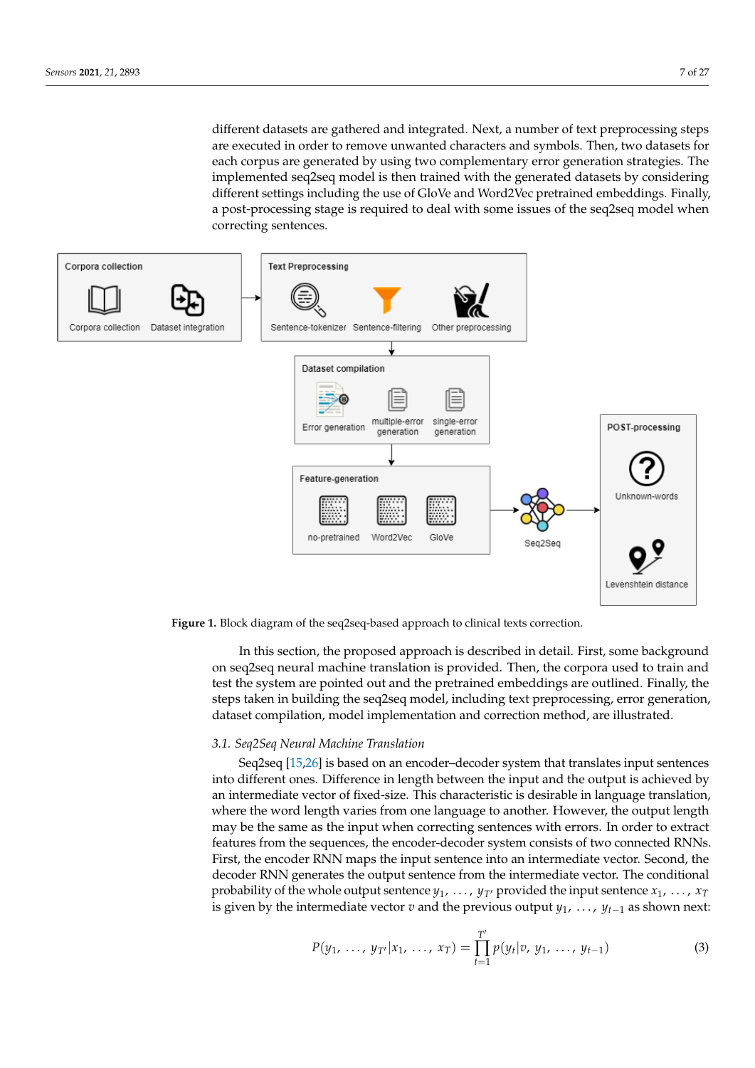different datasets are gathered and integrated. Next, a number of text preprocessing steps are executed in order to remove unwanted characters and symbols. Then, two datasets for each corpus are generated by using two complementary error generation strategies. The implemented seq2seq model is then trained with the generated datasets by considering different settings including the use of GloVe and Word2Vec pretrained embeddings. Finally, a post-processing stage is required to deal with some issues of the seq2seq model when correcting sentences.

<span id="page-6-0"></span>

**Figure 1.** Block diagram of the seq2seq-based approach to clinical texts correction. **Figure 1.** Block diagram of the seq2seq-based approach to clinical texts correction.

In this section, the proposed approach is described in detail. First, some background In this section, the proposed approach is described in detail. First, some background on seq2seq neural machine translation is provided. Then, the corpora used to train and test the system are pointed out and the pretrained embeddings are outlined. Finally, the test the system are pointed out and the pretrained embeddings are outlined. Finally, the steps taken in building the seq2seq model, including text preprocessing, error generation, steps taken in building the seq2seq model, including text preprocessing, error generation, dataset compilation, model implementation and correction method, are illustrated. dataset compilation, model implementation and correction method, are illustrated.

# *3.1. Seq2Seq Neural Machine Translation 3.1. Seq2Seq Neural Machine Translation*

Seq2seq [\[15,](#page-25-0)[26\]](#page-25-11) is based on an encoder–decoder system that translates input sentences into different ones. Difference in length between the input and the output is achieved by an intermediate vector of fixed-size. This characteristic is desirable in language translation, where the word length varies from one language to another. However, the output length varies from one language to another. However, the output length may be the same as the input when correcting sentences with errors. In order to extract the same as the input when correcting sentences with errors. In order to extract First, the encoder RNN maps the input sentence into an intermediate vector. Second, the First, the encoder RNN maps the input sentence into an intermediate vector. Second, the decoder RNN generates the output sentence from the intermediate vector. The conditional probability of the whole output sentence  $y_1, \ldots, y_{T'}$  provided the input sentence  $x_1, \ldots, x_T$ probability of the whole output sentence  $y_1, \ldots, y_l$  provided the hiput sentence  $x_1, \ldots, x_l$ <br>is given by the intermediate vector zi and the previous output  $u_1, \ldots, u_l$  as shown next. is given by the intermediate vector *v* and the previous output *y*<sub>1</sub>, ..., *y*<sub>*t*−1</sub> as shown next: features from the sequences, the encoder-decoder system consists of two connected RNNs.

$$
P(y_1, \ldots, y_{T'} | x_1, \ldots, x_T) = \prod_{t=1}^{T'} p(y_t | v, y_1, \ldots, y_{t-1})
$$
\n(3)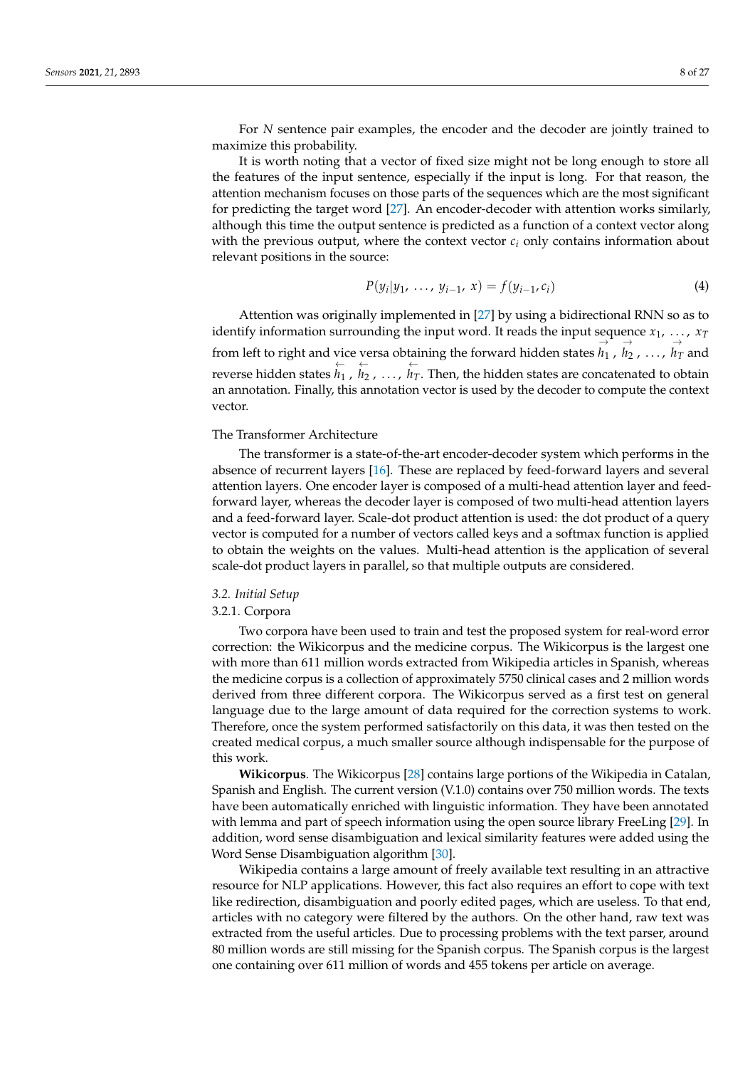For *N* sentence pair examples, the encoder and the decoder are jointly trained to maximize this probability.

It is worth noting that a vector of fixed size might not be long enough to store all the features of the input sentence, especially if the input is long. For that reason, the attention mechanism focuses on those parts of the sequences which are the most significant for predicting the target word [\[27\]](#page-25-12). An encoder-decoder with attention works similarly, although this time the output sentence is predicted as a function of a context vector along with the previous output, where the context vector  $c_i$  only contains information about relevant positions in the source:

$$
P(y_i|y_1, \ldots, y_{i-1}, x) = f(y_{i-1}, c_i)
$$
\n(4)

Attention was originally implemented in [\[27\]](#page-25-12) by using a bidirectional RNN so as to identify information surrounding the input word. It reads the input sequence  $x_1, \ldots, x_T$ from left to right and vice versa obtaining the forward hidden states  $\rightarrow$ *h*<sup>1</sup> ,  $\rightarrow$  $h_2$  ,  $\dots$  ,  $\rightarrow$  $h_T$  and reverse hidden states ← *h*<sup>1</sup> , ←  $h_2$  ,  $\dots$  , ← *hT*. Then, the hidden states are concatenated to obtain an annotation. Finally, this annotation vector is used by the decoder to compute the context vector.

#### The Transformer Architecture

The transformer is a state-of-the-art encoder-decoder system which performs in the absence of recurrent layers [\[16\]](#page-25-1). These are replaced by feed-forward layers and several attention layers. One encoder layer is composed of a multi-head attention layer and feedforward layer, whereas the decoder layer is composed of two multi-head attention layers and a feed-forward layer. Scale-dot product attention is used: the dot product of a query vector is computed for a number of vectors called keys and a softmax function is applied to obtain the weights on the values. Multi-head attention is the application of several scale-dot product layers in parallel, so that multiple outputs are considered.

#### *3.2. Initial Setup*

#### 3.2.1. Corpora

Two corpora have been used to train and test the proposed system for real-word error correction: the Wikicorpus and the medicine corpus. The Wikicorpus is the largest one with more than 611 million words extracted from Wikipedia articles in Spanish, whereas the medicine corpus is a collection of approximately 5750 clinical cases and 2 million words derived from three different corpora. The Wikicorpus served as a first test on general language due to the large amount of data required for the correction systems to work. Therefore, once the system performed satisfactorily on this data, it was then tested on the created medical corpus, a much smaller source although indispensable for the purpose of this work.

**Wikicorpus**. The Wikicorpus [\[28\]](#page-25-13) contains large portions of the Wikipedia in Catalan, Spanish and English. The current version (V.1.0) contains over 750 million words. The texts have been automatically enriched with linguistic information. They have been annotated with lemma and part of speech information using the open source library FreeLing [\[29\]](#page-25-14). In addition, word sense disambiguation and lexical similarity features were added using the Word Sense Disambiguation algorithm [\[30\]](#page-25-15).

Wikipedia contains a large amount of freely available text resulting in an attractive resource for NLP applications. However, this fact also requires an effort to cope with text like redirection, disambiguation and poorly edited pages, which are useless. To that end, articles with no category were filtered by the authors. On the other hand, raw text was extracted from the useful articles. Due to processing problems with the text parser, around 80 million words are still missing for the Spanish corpus. The Spanish corpus is the largest one containing over 611 million of words and 455 tokens per article on average.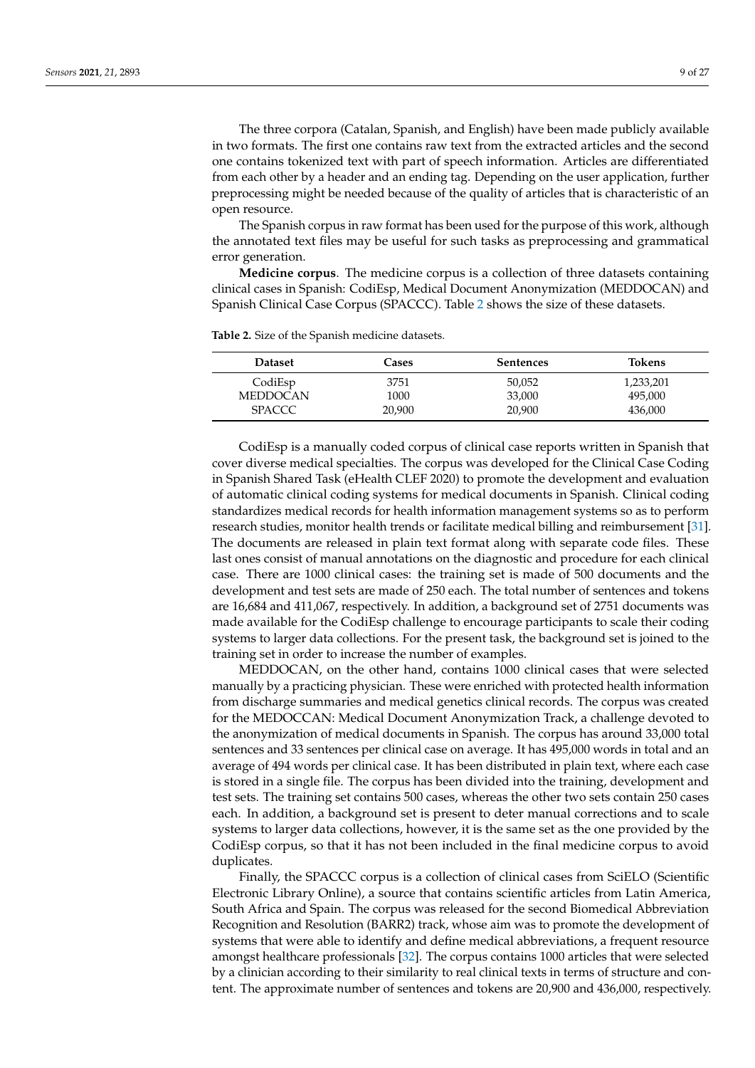The three corpora (Catalan, Spanish, and English) have been made publicly available in two formats. The first one contains raw text from the extracted articles and the second one contains tokenized text with part of speech information. Articles are differentiated from each other by a header and an ending tag. Depending on the user application, further preprocessing might be needed because of the quality of articles that is characteristic of an open resource.

The Spanish corpus in raw format has been used for the purpose of this work, although the annotated text files may be useful for such tasks as preprocessing and grammatical error generation.

**Medicine corpus**. The medicine corpus is a collection of three datasets containing clinical cases in Spanish: CodiEsp, Medical Document Anonymization (MEDDOCAN) and Spanish Clinical Case Corpus (SPACCC). Table [2](#page-8-0) shows the size of these datasets.

| <b>Dataset</b>  | Cases  | <b>Sentences</b> | Tokens    |
|-----------------|--------|------------------|-----------|
| CodiEsp         | 3751   | 50,052           | 1,233,201 |
| <b>MEDDOCAN</b> | 1000   | 33,000           | 495,000   |
| <b>SPACCC</b>   | 20,900 | 20,900           | 436,000   |

<span id="page-8-0"></span>**Table 2.** Size of the Spanish medicine datasets.

CodiEsp is a manually coded corpus of clinical case reports written in Spanish that cover diverse medical specialties. The corpus was developed for the Clinical Case Coding in Spanish Shared Task (eHealth CLEF 2020) to promote the development and evaluation of automatic clinical coding systems for medical documents in Spanish. Clinical coding standardizes medical records for health information management systems so as to perform research studies, monitor health trends or facilitate medical billing and reimbursement [\[31\]](#page-25-16). The documents are released in plain text format along with separate code files. These last ones consist of manual annotations on the diagnostic and procedure for each clinical case. There are 1000 clinical cases: the training set is made of 500 documents and the development and test sets are made of 250 each. The total number of sentences and tokens are 16,684 and 411,067, respectively. In addition, a background set of 2751 documents was made available for the CodiEsp challenge to encourage participants to scale their coding systems to larger data collections. For the present task, the background set is joined to the training set in order to increase the number of examples.

MEDDOCAN, on the other hand, contains 1000 clinical cases that were selected manually by a practicing physician. These were enriched with protected health information from discharge summaries and medical genetics clinical records. The corpus was created for the MEDOCCAN: Medical Document Anonymization Track, a challenge devoted to the anonymization of medical documents in Spanish. The corpus has around 33,000 total sentences and 33 sentences per clinical case on average. It has 495,000 words in total and an average of 494 words per clinical case. It has been distributed in plain text, where each case is stored in a single file. The corpus has been divided into the training, development and test sets. The training set contains 500 cases, whereas the other two sets contain 250 cases each. In addition, a background set is present to deter manual corrections and to scale systems to larger data collections, however, it is the same set as the one provided by the CodiEsp corpus, so that it has not been included in the final medicine corpus to avoid duplicates.

Finally, the SPACCC corpus is a collection of clinical cases from SciELO (Scientific Electronic Library Online), a source that contains scientific articles from Latin America, South Africa and Spain. The corpus was released for the second Biomedical Abbreviation Recognition and Resolution (BARR2) track, whose aim was to promote the development of systems that were able to identify and define medical abbreviations, a frequent resource amongst healthcare professionals [\[32\]](#page-26-0). The corpus contains 1000 articles that were selected by a clinician according to their similarity to real clinical texts in terms of structure and content. The approximate number of sentences and tokens are 20,900 and 436,000, respectively.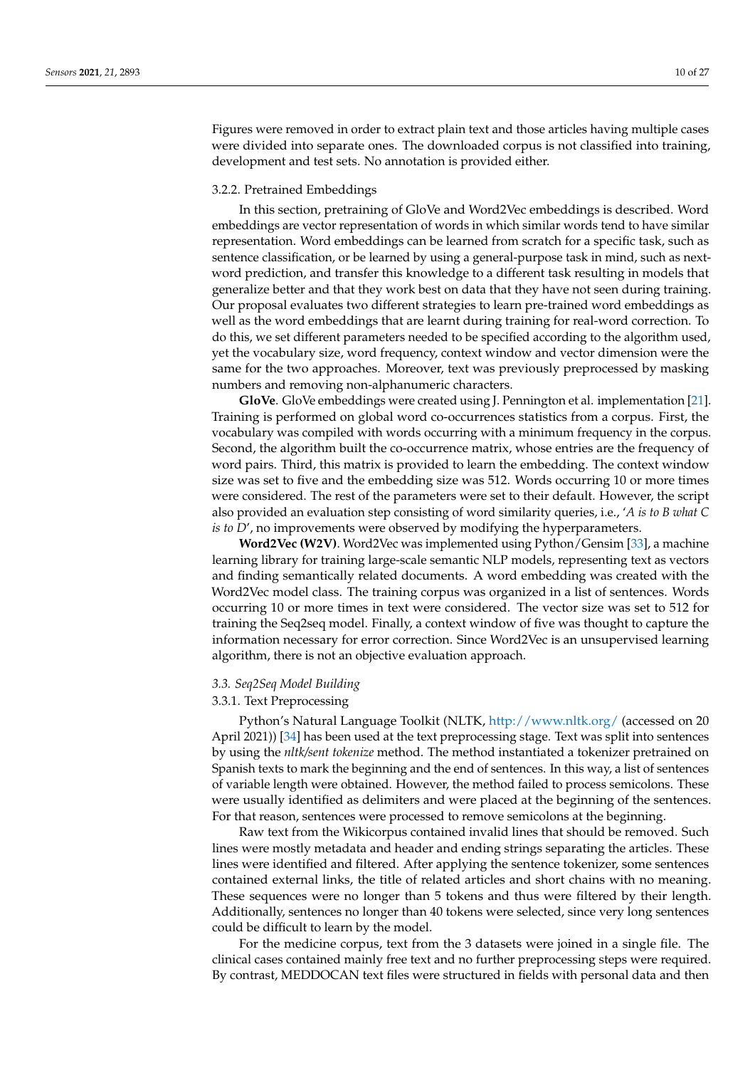Figures were removed in order to extract plain text and those articles having multiple cases were divided into separate ones. The downloaded corpus is not classified into training, development and test sets. No annotation is provided either.

# 3.2.2. Pretrained Embeddings

In this section, pretraining of GloVe and Word2Vec embeddings is described. Word embeddings are vector representation of words in which similar words tend to have similar representation. Word embeddings can be learned from scratch for a specific task, such as sentence classification, or be learned by using a general-purpose task in mind, such as nextword prediction, and transfer this knowledge to a different task resulting in models that generalize better and that they work best on data that they have not seen during training. Our proposal evaluates two different strategies to learn pre-trained word embeddings as well as the word embeddings that are learnt during training for real-word correction. To do this, we set different parameters needed to be specified according to the algorithm used, yet the vocabulary size, word frequency, context window and vector dimension were the same for the two approaches. Moreover, text was previously preprocessed by masking numbers and removing non-alphanumeric characters.

**GloVe**. GloVe embeddings were created using J. Pennington et al. implementation [\[21\]](#page-25-6). Training is performed on global word co-occurrences statistics from a corpus. First, the vocabulary was compiled with words occurring with a minimum frequency in the corpus. Second, the algorithm built the co-occurrence matrix, whose entries are the frequency of word pairs. Third, this matrix is provided to learn the embedding. The context window size was set to five and the embedding size was 512. Words occurring 10 or more times were considered. The rest of the parameters were set to their default. However, the script also provided an evaluation step consisting of word similarity queries, i.e., '*A is to B what C is to D'*, no improvements were observed by modifying the hyperparameters.

**Word2Vec (W2V)**. Word2Vec was implemented using Python/Gensim [\[33\]](#page-26-1), a machine learning library for training large-scale semantic NLP models, representing text as vectors and finding semantically related documents. A word embedding was created with the Word2Vec model class. The training corpus was organized in a list of sentences. Words occurring 10 or more times in text were considered. The vector size was set to 512 for training the Seq2seq model. Finally, a context window of five was thought to capture the information necessary for error correction. Since Word2Vec is an unsupervised learning algorithm, there is not an objective evaluation approach.

## *3.3. Seq2Seq Model Building*

# 3.3.1. Text Preprocessing

Python's Natural Language Toolkit (NLTK, <http://www.nltk.org/> (accessed on 20 April 2021)) [\[34\]](#page-26-2) has been used at the text preprocessing stage. Text was split into sentences by using the *nltk/sent tokenize* method. The method instantiated a tokenizer pretrained on Spanish texts to mark the beginning and the end of sentences. In this way, a list of sentences of variable length were obtained. However, the method failed to process semicolons. These were usually identified as delimiters and were placed at the beginning of the sentences. For that reason, sentences were processed to remove semicolons at the beginning.

Raw text from the Wikicorpus contained invalid lines that should be removed. Such lines were mostly metadata and header and ending strings separating the articles. These lines were identified and filtered. After applying the sentence tokenizer, some sentences contained external links, the title of related articles and short chains with no meaning. These sequences were no longer than 5 tokens and thus were filtered by their length. Additionally, sentences no longer than 40 tokens were selected, since very long sentences could be difficult to learn by the model.

For the medicine corpus, text from the 3 datasets were joined in a single file. The clinical cases contained mainly free text and no further preprocessing steps were required. By contrast, MEDDOCAN text files were structured in fields with personal data and then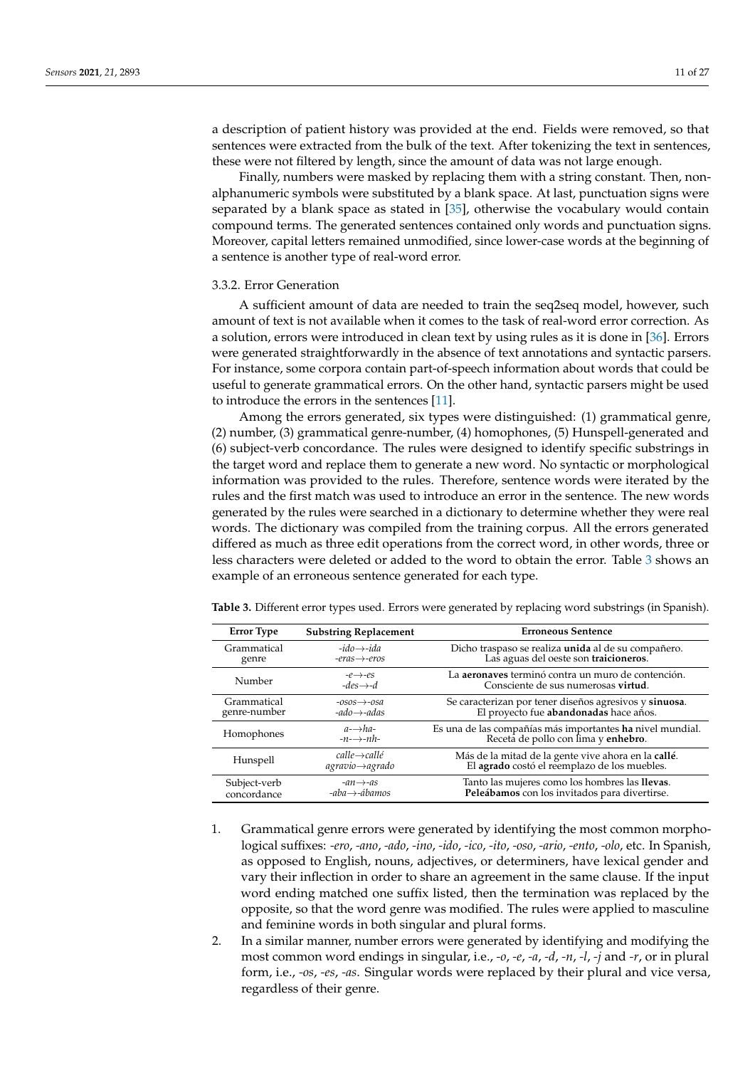a description of patient history was provided at the end. Fields were removed, so that sentences were extracted from the bulk of the text. After tokenizing the text in sentences, these were not filtered by length, since the amount of data was not large enough.

Finally, numbers were masked by replacing them with a string constant. Then, nonalphanumeric symbols were substituted by a blank space. At last, punctuation signs were separated by a blank space as stated in [\[35\]](#page-26-3), otherwise the vocabulary would contain compound terms. The generated sentences contained only words and punctuation signs. Moreover, capital letters remained unmodified, since lower-case words at the beginning of a sentence is another type of real-word error.

# <span id="page-10-1"></span>3.3.2. Error Generation

A sufficient amount of data are needed to train the seq2seq model, however, such amount of text is not available when it comes to the task of real-word error correction. As a solution, errors were introduced in clean text by using rules as it is done in [\[36\]](#page-26-4). Errors were generated straightforwardly in the absence of text annotations and syntactic parsers. For instance, some corpora contain part-of-speech information about words that could be useful to generate grammatical errors. On the other hand, syntactic parsers might be used to introduce the errors in the sentences [\[11\]](#page-24-10).

Among the errors generated, six types were distinguished: (1) grammatical genre, (2) number, (3) grammatical genre-number, (4) homophones, (5) Hunspell-generated and (6) subject-verb concordance. The rules were designed to identify specific substrings in the target word and replace them to generate a new word. No syntactic or morphological information was provided to the rules. Therefore, sentence words were iterated by the rules and the first match was used to introduce an error in the sentence. The new words generated by the rules were searched in a dictionary to determine whether they were real words. The dictionary was compiled from the training corpus. All the errors generated differed as much as three edit operations from the correct word, in other words, three or less characters were deleted or added to the word to obtain the error. Table [3](#page-10-0) shows an example of an erroneous sentence generated for each type.

| <b>Error Type</b>           | <b>Substring Replacement</b>                                               | <b>Erroneous Sentence</b>                                                                           |
|-----------------------------|----------------------------------------------------------------------------|-----------------------------------------------------------------------------------------------------|
| Grammatical<br>genre        | $-ido \rightarrow -ida$<br>$-eras \rightarrow -eros$                       | Dicho traspaso se realiza <b>unida</b> al de su compañero.<br>Las aguas del oeste son traicioneros. |
| Number                      | $-e \rightarrow -e s$<br>$-des \rightarrow d$                              | La aeronaves terminó contra un muro de contención.<br>Consciente de sus numerosas virtud.           |
| Grammatical<br>genre-number | $-0$ sos $\rightarrow$ -osa<br>$-ado \rightarrow -adas$                    | Se caracterizan por tener diseños agresivos y sinuosa.<br>El proyecto fue abandonadas hace años.    |
| Homophones                  | $a \rightarrow ha$<br>$-n \rightarrow nh$                                  | Es una de las compañías más importantes ha nivel mundial.<br>Receta de pollo con lima y enhebro.    |
| Hunspell                    | $\text{calle} \rightarrow \text{calle}$<br>$a$ gravio $\rightarrow$ agrado | Más de la mitad de la gente vive ahora en la callé.<br>El agrado costó el reemplazo de los muebles. |
| Subject-verb<br>concordance | $-an \rightarrow -as$<br>$-aba \rightarrow -ábamos$                        | Tanto las mujeres como los hombres las llevas.<br>Peleábamos con los invitados para divertirse.     |

<span id="page-10-0"></span>**Table 3.** Different error types used. Errors were generated by replacing word substrings (in Spanish).

- 1. Grammatical genre errors were generated by identifying the most common morphological suffixes: *-ero*, *-ano*, *-ado*, *-ino*, *-ido*, *-ico*, *-ito*, *-oso*, *-ario*, *-ento*, *-olo*, etc. In Spanish, as opposed to English, nouns, adjectives, or determiners, have lexical gender and vary their inflection in order to share an agreement in the same clause. If the input word ending matched one suffix listed, then the termination was replaced by the opposite, so that the word genre was modified. The rules were applied to masculine and feminine words in both singular and plural forms.
- 2. In a similar manner, number errors were generated by identifying and modifying the most common word endings in singular, i.e., *-o*, *-e*, *-a*, *-d*, *-n*, *-l*, *-j* and *-r*, or in plural form, i.e., *-os*, *-es*, *-as*. Singular words were replaced by their plural and vice versa, regardless of their genre.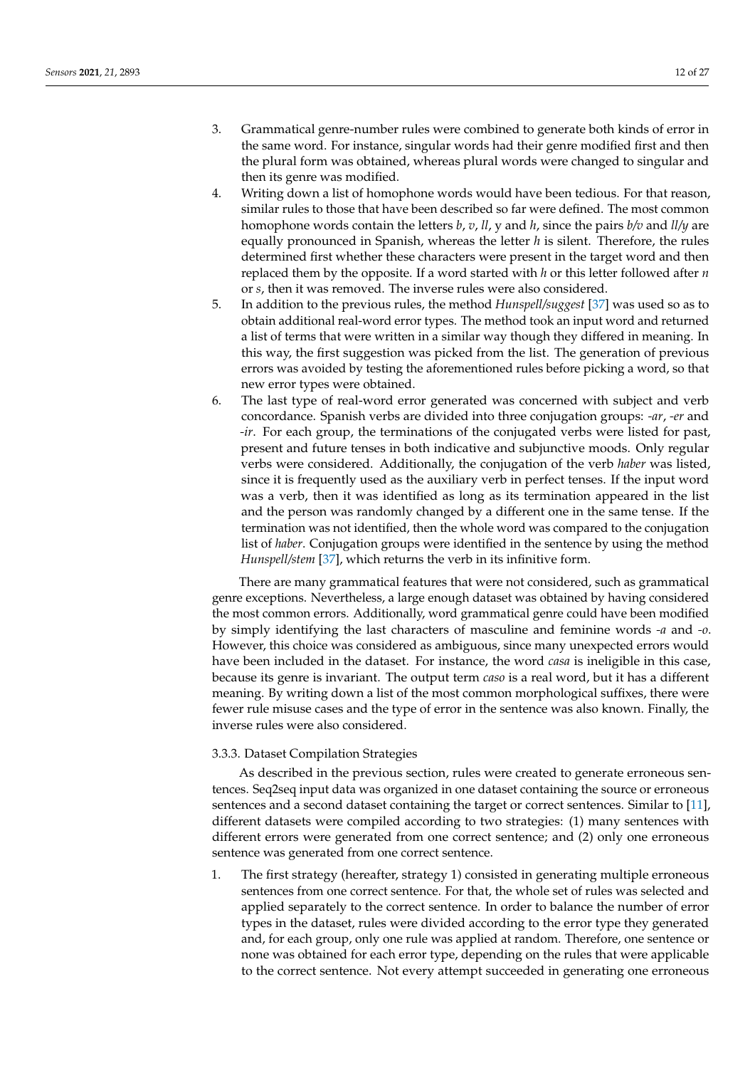- 3. Grammatical genre-number rules were combined to generate both kinds of error in the same word. For instance, singular words had their genre modified first and then the plural form was obtained, whereas plural words were changed to singular and then its genre was modified.
- 4. Writing down a list of homophone words would have been tedious. For that reason, similar rules to those that have been described so far were defined. The most common homophone words contain the letters *b*, *v*, *ll*, y and *h*, since the pairs *b/v* and *ll/y* are equally pronounced in Spanish, whereas the letter *h* is silent. Therefore, the rules determined first whether these characters were present in the target word and then replaced them by the opposite. If a word started with *h* or this letter followed after *n* or *s*, then it was removed. The inverse rules were also considered.
- 5. In addition to the previous rules, the method *Hunspell/suggest* [\[37\]](#page-26-5) was used so as to obtain additional real-word error types. The method took an input word and returned a list of terms that were written in a similar way though they differed in meaning. In this way, the first suggestion was picked from the list. The generation of previous errors was avoided by testing the aforementioned rules before picking a word, so that new error types were obtained.
- 6. The last type of real-word error generated was concerned with subject and verb concordance. Spanish verbs are divided into three conjugation groups: *-ar*, *-er* and *-ir*. For each group, the terminations of the conjugated verbs were listed for past, present and future tenses in both indicative and subjunctive moods. Only regular verbs were considered. Additionally, the conjugation of the verb *haber* was listed, since it is frequently used as the auxiliary verb in perfect tenses. If the input word was a verb, then it was identified as long as its termination appeared in the list and the person was randomly changed by a different one in the same tense. If the termination was not identified, then the whole word was compared to the conjugation list of *haber*. Conjugation groups were identified in the sentence by using the method *Hunspell/stem* [\[37\]](#page-26-5), which returns the verb in its infinitive form.

There are many grammatical features that were not considered, such as grammatical genre exceptions. Nevertheless, a large enough dataset was obtained by having considered the most common errors. Additionally, word grammatical genre could have been modified by simply identifying the last characters of masculine and feminine words *-a* and *-o*. However, this choice was considered as ambiguous, since many unexpected errors would have been included in the dataset. For instance, the word *casa* is ineligible in this case, because its genre is invariant. The output term *caso* is a real word, but it has a different meaning. By writing down a list of the most common morphological suffixes, there were fewer rule misuse cases and the type of error in the sentence was also known. Finally, the inverse rules were also considered.

# <span id="page-11-0"></span>3.3.3. Dataset Compilation Strategies

As described in the previous section, rules were created to generate erroneous sentences. Seq2seq input data was organized in one dataset containing the source or erroneous sentences and a second dataset containing the target or correct sentences. Similar to [\[11\]](#page-24-10), different datasets were compiled according to two strategies: (1) many sentences with different errors were generated from one correct sentence; and (2) only one erroneous sentence was generated from one correct sentence.

1. The first strategy (hereafter, strategy 1) consisted in generating multiple erroneous sentences from one correct sentence. For that, the whole set of rules was selected and applied separately to the correct sentence. In order to balance the number of error types in the dataset, rules were divided according to the error type they generated and, for each group, only one rule was applied at random. Therefore, one sentence or none was obtained for each error type, depending on the rules that were applicable to the correct sentence. Not every attempt succeeded in generating one erroneous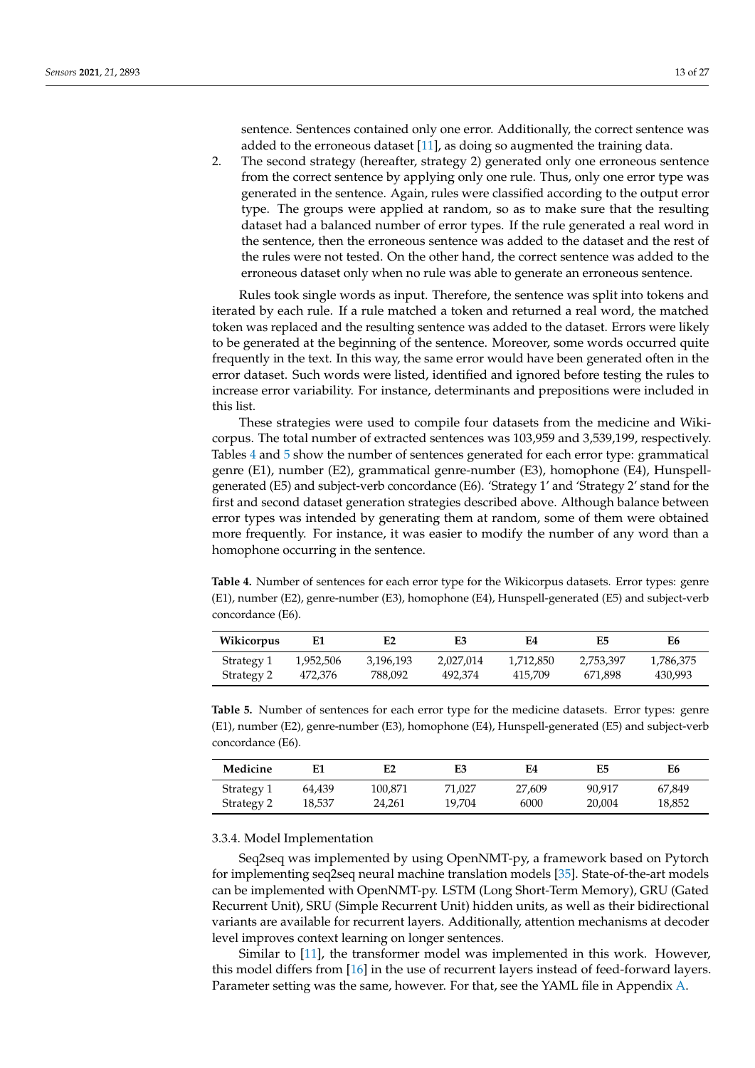sentence. Sentences contained only one error. Additionally, the correct sentence was added to the erroneous dataset  $[11]$ , as doing so augmented the training data.

2. The second strategy (hereafter, strategy 2) generated only one erroneous sentence from the correct sentence by applying only one rule. Thus, only one error type was generated in the sentence. Again, rules were classified according to the output error type. The groups were applied at random, so as to make sure that the resulting dataset had a balanced number of error types. If the rule generated a real word in the sentence, then the erroneous sentence was added to the dataset and the rest of the rules were not tested. On the other hand, the correct sentence was added to the erroneous dataset only when no rule was able to generate an erroneous sentence.

Rules took single words as input. Therefore, the sentence was split into tokens and iterated by each rule. If a rule matched a token and returned a real word, the matched token was replaced and the resulting sentence was added to the dataset. Errors were likely to be generated at the beginning of the sentence. Moreover, some words occurred quite frequently in the text. In this way, the same error would have been generated often in the error dataset. Such words were listed, identified and ignored before testing the rules to increase error variability. For instance, determinants and prepositions were included in this list.

These strategies were used to compile four datasets from the medicine and Wikicorpus. The total number of extracted sentences was 103,959 and 3,539,199, respectively. Tables [4](#page-12-0) and [5](#page-12-1) show the number of sentences generated for each error type: grammatical genre (E1), number (E2), grammatical genre-number (E3), homophone (E4), Hunspellgenerated (E5) and subject-verb concordance (E6). 'Strategy 1' and 'Strategy 2' stand for the first and second dataset generation strategies described above. Although balance between error types was intended by generating them at random, some of them were obtained more frequently. For instance, it was easier to modify the number of any word than a homophone occurring in the sentence.

<span id="page-12-0"></span>**Table 4.** Number of sentences for each error type for the Wikicorpus datasets. Error types: genre (E1), number (E2), genre-number (E3), homophone (E4), Hunspell-generated (E5) and subject-verb concordance (E6).

| <b>Wikicorpus</b> |           | E2        | E3        | E4        | E5        | E6        |
|-------------------|-----------|-----------|-----------|-----------|-----------|-----------|
| Strategy 1        | 1,952,506 | 3,196,193 | 2,027,014 | 1,712,850 | 2,753,397 | 1,786,375 |
| Strategy 2        | 472,376   | 788.092   | 492.374   | 415.709   | 671.898   | 430.993   |

<span id="page-12-1"></span>**Table 5.** Number of sentences for each error type for the medicine datasets. Error types: genre (E1), number (E2), genre-number (E3), homophone (E4), Hunspell-generated (E5) and subject-verb concordance (E6).

| Medicine   | E1     | E2      | E3     | E4     | E5     | E6     |
|------------|--------|---------|--------|--------|--------|--------|
| Strategy 1 | 64.439 | 100,871 | 71.027 | 27,609 | 90.917 | 67.849 |
| Strategy 2 | 18,537 | 24.261  | 19.704 | 6000   | 20,004 | 18,852 |

#### 3.3.4. Model Implementation

Seq2seq was implemented by using OpenNMT-py, a framework based on Pytorch for implementing seq2seq neural machine translation models [\[35\]](#page-26-3). State-of-the-art models can be implemented with OpenNMT-py. LSTM (Long Short-Term Memory), GRU (Gated Recurrent Unit), SRU (Simple Recurrent Unit) hidden units, as well as their bidirectional variants are available for recurrent layers. Additionally, attention mechanisms at decoder level improves context learning on longer sentences.

Similar to [\[11\]](#page-24-10), the transformer model was implemented in this work. However, this model differs from [\[16\]](#page-25-1) in the use of recurrent layers instead of feed-forward layers. Parameter setting was the same, however. For that, see the YAML file in Appendix [A.](#page-23-0)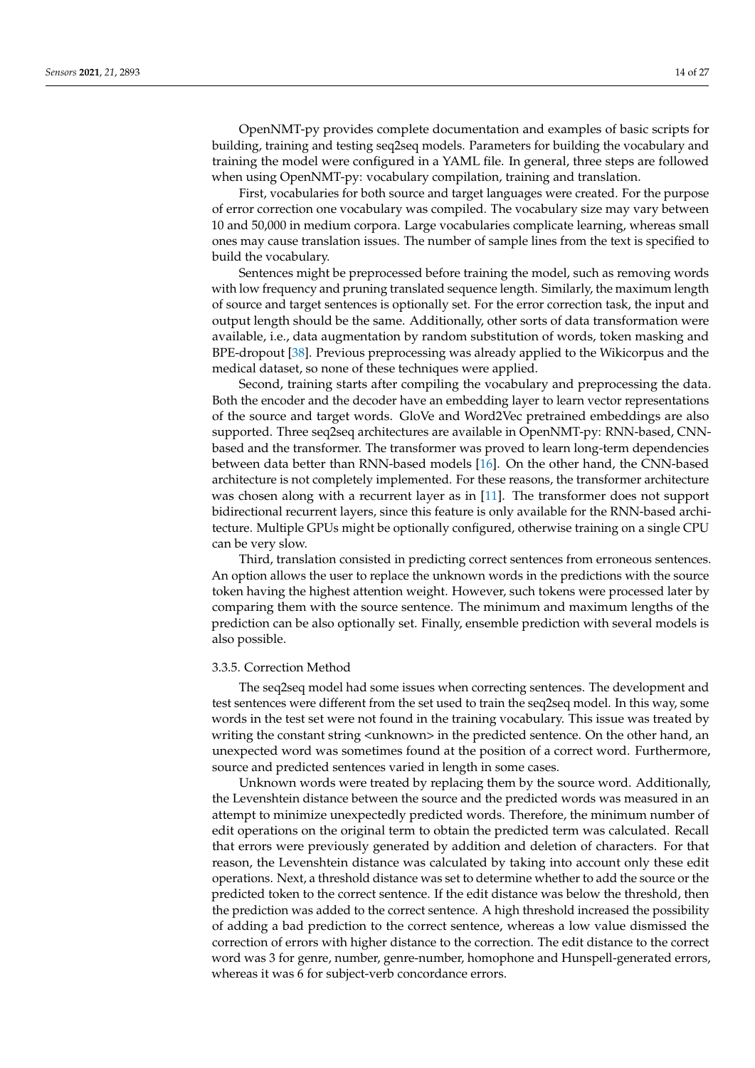OpenNMT-py provides complete documentation and examples of basic scripts for building, training and testing seq2seq models. Parameters for building the vocabulary and training the model were configured in a YAML file. In general, three steps are followed when using OpenNMT-py: vocabulary compilation, training and translation.

First, vocabularies for both source and target languages were created. For the purpose of error correction one vocabulary was compiled. The vocabulary size may vary between 10 and 50,000 in medium corpora. Large vocabularies complicate learning, whereas small ones may cause translation issues. The number of sample lines from the text is specified to build the vocabulary.

Sentences might be preprocessed before training the model, such as removing words with low frequency and pruning translated sequence length. Similarly, the maximum length of source and target sentences is optionally set. For the error correction task, the input and output length should be the same. Additionally, other sorts of data transformation were available, i.e., data augmentation by random substitution of words, token masking and BPE-dropout [\[38\]](#page-26-6). Previous preprocessing was already applied to the Wikicorpus and the medical dataset, so none of these techniques were applied.

Second, training starts after compiling the vocabulary and preprocessing the data. Both the encoder and the decoder have an embedding layer to learn vector representations of the source and target words. GloVe and Word2Vec pretrained embeddings are also supported. Three seq2seq architectures are available in OpenNMT-py: RNN-based, CNNbased and the transformer. The transformer was proved to learn long-term dependencies between data better than RNN-based models [\[16\]](#page-25-1). On the other hand, the CNN-based architecture is not completely implemented. For these reasons, the transformer architecture was chosen along with a recurrent layer as in [\[11\]](#page-24-10). The transformer does not support bidirectional recurrent layers, since this feature is only available for the RNN-based architecture. Multiple GPUs might be optionally configured, otherwise training on a single CPU can be very slow.

Third, translation consisted in predicting correct sentences from erroneous sentences. An option allows the user to replace the unknown words in the predictions with the source token having the highest attention weight. However, such tokens were processed later by comparing them with the source sentence. The minimum and maximum lengths of the prediction can be also optionally set. Finally, ensemble prediction with several models is also possible.

#### 3.3.5. Correction Method

The seq2seq model had some issues when correcting sentences. The development and test sentences were different from the set used to train the seq2seq model. In this way, some words in the test set were not found in the training vocabulary. This issue was treated by writing the constant string <unknown> in the predicted sentence. On the other hand, an unexpected word was sometimes found at the position of a correct word. Furthermore, source and predicted sentences varied in length in some cases.

Unknown words were treated by replacing them by the source word. Additionally, the Levenshtein distance between the source and the predicted words was measured in an attempt to minimize unexpectedly predicted words. Therefore, the minimum number of edit operations on the original term to obtain the predicted term was calculated. Recall that errors were previously generated by addition and deletion of characters. For that reason, the Levenshtein distance was calculated by taking into account only these edit operations. Next, a threshold distance was set to determine whether to add the source or the predicted token to the correct sentence. If the edit distance was below the threshold, then the prediction was added to the correct sentence. A high threshold increased the possibility of adding a bad prediction to the correct sentence, whereas a low value dismissed the correction of errors with higher distance to the correction. The edit distance to the correct word was 3 for genre, number, genre-number, homophone and Hunspell-generated errors, whereas it was 6 for subject-verb concordance errors.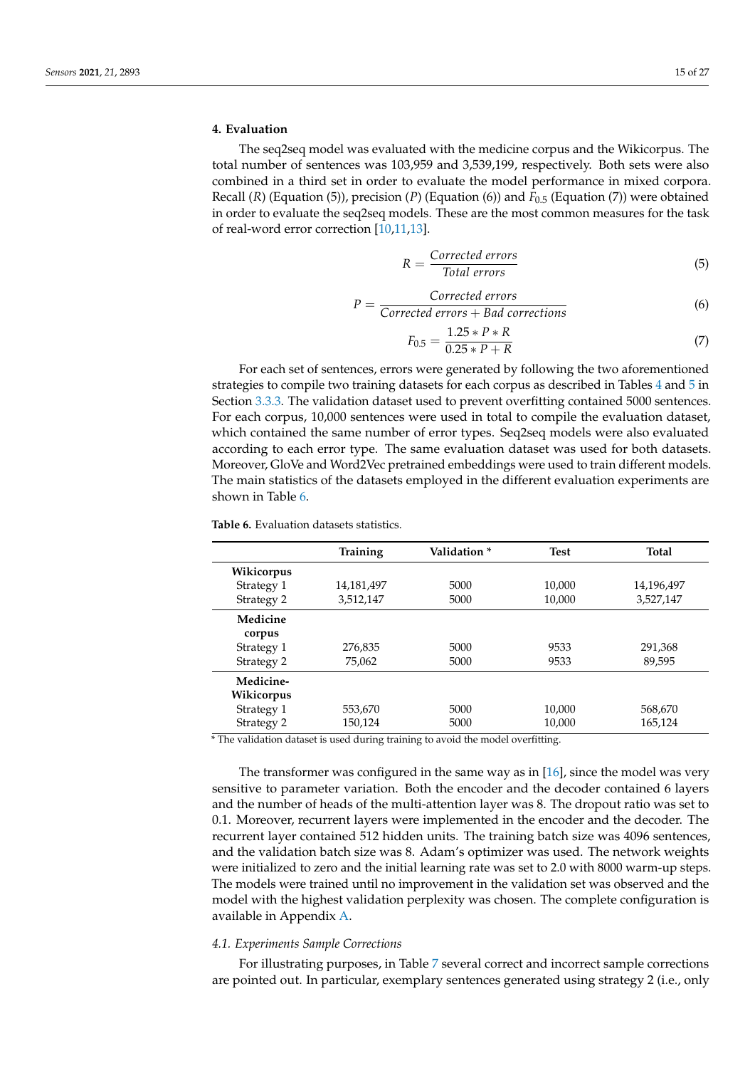# <span id="page-14-0"></span>**4. Evaluation**

The seq2seq model was evaluated with the medicine corpus and the Wikicorpus. The total number of sentences was 103,959 and 3,539,199, respectively. Both sets were also combined in a third set in order to evaluate the model performance in mixed corpora. Recall (*R*) (Equation (5)), precision (*P*) (Equation (6)) and *F*0.5 (Equation (7)) were obtained in order to evaluate the seq2seq models. These are the most common measures for the task of real-word error correction [\[10,](#page-24-9)[11,](#page-24-10)[13\]](#page-24-12).

$$
R = \frac{\text{Corrected errors}}{\text{Total errors}}\tag{5}
$$

$$
P = \frac{Corrected\ errors}{Corrected\ errors + Bad\ corrections}
$$
 (6)

$$
F_{0.5} = \frac{1.25 \times P \times R}{0.25 \times P + R} \tag{7}
$$

For each set of sentences, errors were generated by following the two aforementioned strategies to compile two training datasets for each corpus as described in Tables [4](#page-12-0) and [5](#page-12-1) in Section [3.3.3.](#page-11-0) The validation dataset used to prevent overfitting contained 5000 sentences. For each corpus, 10,000 sentences were used in total to compile the evaluation dataset, which contained the same number of error types. Seq2seq models were also evaluated according to each error type. The same evaluation dataset was used for both datasets. Moreover, GloVe and Word2Vec pretrained embeddings were used to train different models. The main statistics of the datasets employed in the different evaluation experiments are shown in Table [6.](#page-14-1)

|                                                                       | <b>Training</b>                                                                         | Validation *                | <b>Test</b>        | <b>Total</b> |
|-----------------------------------------------------------------------|-----------------------------------------------------------------------------------------|-----------------------------|--------------------|--------------|
| Wikicorpus                                                            |                                                                                         |                             |                    |              |
| Strategy 1                                                            | 14,181,497                                                                              | 5000                        | 10,000             | 14,196,497   |
| Strategy 2                                                            | 3,512,147                                                                               | 5000                        | 10,000             | 3,527,147    |
| Medicine                                                              |                                                                                         |                             |                    |              |
| corpus                                                                |                                                                                         |                             |                    |              |
| Strategy 1                                                            | 276,835                                                                                 | 5000                        | 9533               | 291,368      |
| Strategy 2                                                            | 75.062                                                                                  | 5000                        | 9533               | 89,595       |
| Medicine-                                                             |                                                                                         |                             |                    |              |
| Wikicorpus                                                            |                                                                                         |                             |                    |              |
| Strategy 1                                                            | 553,670                                                                                 | 5000                        | 10,000             | 568,670      |
| Strategy 2<br>$\sim$ $-$<br>$\mathbf{1}$<br>$\cdots$<br>$\sim$ $\sim$ | 150,124<br>$\mathbf{r}$ , $\mathbf{r}$ , $\mathbf{r}$ , $\mathbf{r}$<br>$\cdot$ $\cdot$ | 5000<br>1 1<br>$\mathbf{1}$ | 10,000<br>$\cdots$ | 165,124      |

<span id="page-14-1"></span>**Table 6.** Evaluation datasets statistics.

\* The validation dataset is used during training to avoid the model overfitting.

The transformer was configured in the same way as in  $[16]$ , since the model was very sensitive to parameter variation. Both the encoder and the decoder contained 6 layers and the number of heads of the multi-attention layer was 8. The dropout ratio was set to 0.1. Moreover, recurrent layers were implemented in the encoder and the decoder. The recurrent layer contained 512 hidden units. The training batch size was 4096 sentences, and the validation batch size was 8. Adam's optimizer was used. The network weights were initialized to zero and the initial learning rate was set to 2.0 with 8000 warm-up steps. The models were trained until no improvement in the validation set was observed and the model with the highest validation perplexity was chosen. The complete configuration is available in Appendix [A.](#page-23-0)

# *4.1. Experiments Sample Corrections*

For illustrating purposes, in Table [7](#page-15-0) several correct and incorrect sample corrections are pointed out. In particular, exemplary sentences generated using strategy 2 (i.e., only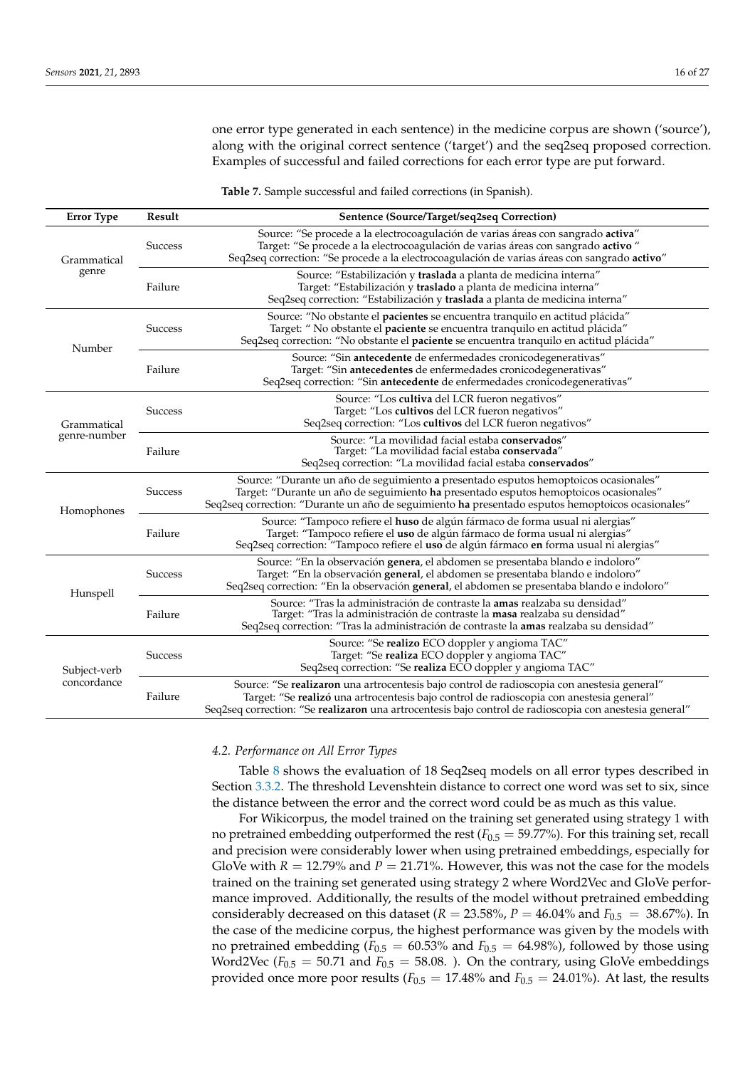one error type generated in each sentence) in the medicine corpus are shown ('source'), along with the original correct sentence ('target') and the seq2seq proposed correction. Examples of successful and failed corrections for each error type are put forward.

**Table 7.** Sample successful and failed corrections (in Spanish).

<span id="page-15-0"></span>

| <b>Error Type</b>           | Result         | Sentence (Source/Target/seq2seq Correction)                                                                                                                                                                                                                                                        |
|-----------------------------|----------------|----------------------------------------------------------------------------------------------------------------------------------------------------------------------------------------------------------------------------------------------------------------------------------------------------|
| Grammatical<br>genre        | Success        | Source: "Se procede a la electrocoagulación de varias áreas con sangrado activa"<br>Target: "Se procede a la electrocoagulación de varias áreas con sangrado activo"<br>Seq2seq correction: "Se procede a la electrocoagulación de varias áreas con sangrado activo"                               |
|                             | Failure        | Source: "Estabilización y traslada a planta de medicina interna"<br>Target: "Estabilización y traslado a planta de medicina interna"<br>Seq2seq correction: "Estabilización y <b>traslada</b> a planta de medicina interna"                                                                        |
| Number                      | Success        | Source: "No obstante el pacientes se encuentra tranquilo en actitud plácida"<br>Target: "No obstante el paciente se encuentra tranquilo en actitud plácida"<br>Seq2seq correction: "No obstante el paciente se encuentra tranquilo en actitud plácida"                                             |
|                             | Failure        | Source: "Sin antecedente de enfermedades cronicodegenerativas"<br>Target: "Sin antecedentes de enfermedades cronicodegenerativas"<br>Seq2seq correction: "Sin antecedente de enfermedades cronicodegenerativas"                                                                                    |
| Grammatical<br>genre-number | <b>Success</b> | Source: "Los cultiva del LCR fueron negativos"<br>Target: "Los cultivos del LCR fueron negativos"<br>Seq2seq correction: "Los cultivos del LCR fueron negativos"                                                                                                                                   |
|                             | Failure        | Source: "La movilidad facial estaba conservados"<br>Target: "La movilidad facial estaba conservada"<br>Seq2seq correction: "La movilidad facial estaba conservados"                                                                                                                                |
|                             | <b>Success</b> | Source: "Durante un año de seguimiento a presentado esputos hemoptoicos ocasionales"<br>Target: "Durante un año de seguimiento ha presentado esputos hemoptoicos ocasionales"<br>Seq2seq correction: "Durante un año de seguimiento ha presentado esputos hemoptoicos ocasionales"                 |
| Homophones                  | Failure        | Source: "Tampoco refiere el huso de algún fármaco de forma usual ni alergias"<br>Target: "Tampoco refiere el uso de algún fármaco de forma usual ni alergias"<br>Seq2seq correction: "Tampoco refiere el uso de algún fármaco en forma usual ni alergias"                                          |
| Hunspell                    | <b>Success</b> | Source: "En la observación genera, el abdomen se presentaba blando e indoloro"<br>Target: "En la observación general, el abdomen se presentaba blando e indoloro"<br>Seq2seq correction: "En la observación general, el abdomen se presentaba blando e indoloro"                                   |
|                             | Failure        | Source: "Tras la administración de contraste la <b>amas</b> realzaba su densidad"<br>Target: "Tras la administración de contraste la <b>masa</b> realzaba su densidad"<br>Seq2seq correction: "Tras la administración de contraste la amas realzaba su densidad"                                   |
| Subject-verb<br>concordance | <b>Success</b> | Source: "Se realizo ECO doppler y angioma TAC"<br>Target: "Se realiza ECO doppler y angioma TAC"<br>Seq2seq correction: "Se realiza ECO doppler y angioma TAC"                                                                                                                                     |
|                             | Failure        | Source: "Se realizaron una artrocentesis bajo control de radioscopia con anestesia general"<br>Target: "Se realizó una artrocentesis bajo control de radioscopia con anestesia general"<br>Seq2seq correction: "Se realizaron una artrocentesis bajo control de radioscopia con anestesia general" |

#### *4.2. Performance on All Error Types*

Table [8](#page-16-0) shows the evaluation of 18 Seq2seq models on all error types described in Section [3.3.2.](#page-10-1) The threshold Levenshtein distance to correct one word was set to six, since the distance between the error and the correct word could be as much as this value.

For Wikicorpus, the model trained on the training set generated using strategy 1 with no pretrained embedding outperformed the rest (*F*0.5 = 59.77%). For this training set, recall and precision were considerably lower when using pretrained embeddings, especially for GloVe with  $R = 12.79\%$  and  $P = 21.71\%$ . However, this was not the case for the models trained on the training set generated using strategy 2 where Word2Vec and GloVe performance improved. Additionally, the results of the model without pretrained embedding considerably decreased on this dataset ( $R = 23.58\%$ ,  $P = 46.04\%$  and  $F_{0.5} = 38.67\%$ ). In the case of the medicine corpus, the highest performance was given by the models with no pretrained embedding ( $F_{0.5} = 60.53\%$  and  $F_{0.5} = 64.98\%$ ), followed by those using Word2Vec ( $F_{0.5} = 50.71$  and  $F_{0.5} = 58.08$ . ). On the contrary, using GloVe embeddings provided once more poor results ( $F_{0.5} = 17.48\%$  and  $F_{0.5} = 24.01\%$ ). At last, the results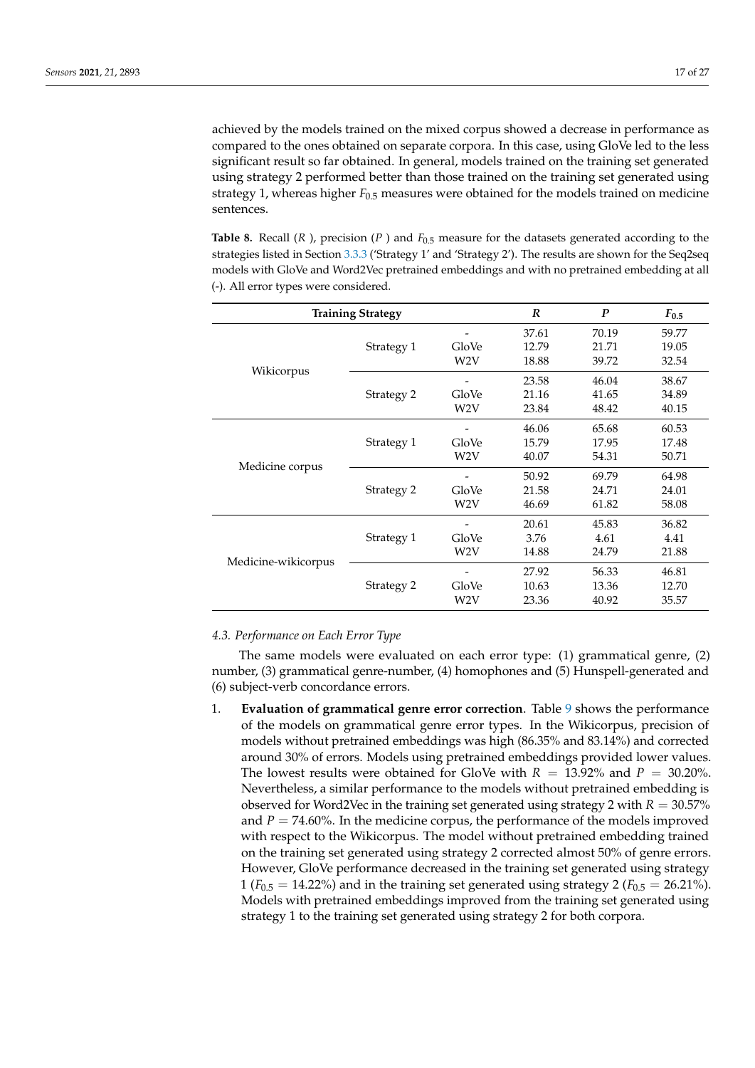achieved by the models trained on the mixed corpus showed a decrease in performance as compared to the ones obtained on separate corpora. In this case, using GloVe led to the less significant result so far obtained. In general, models trained on the training set generated using strategy 2 performed better than those trained on the training set generated using strategy 1, whereas higher *F*0.5 measures were obtained for the models trained on medicine sentences.

<span id="page-16-0"></span>**Table 8.** Recall (*R* ), precision (*P* ) and *F*0.5 measure for the datasets generated according to the strategies listed in Section [3.3.3](#page-11-0) ('Strategy 1' and 'Strategy 2'). The results are shown for the Seq2seq models with GloVe and Word2Vec pretrained embeddings and with no pretrained embedding at all (-). All error types were considered.

|                     | <b>Training Strategy</b> |                  | $\boldsymbol{R}$ | $\boldsymbol{P}$ | $F_{0.5}$ |
|---------------------|--------------------------|------------------|------------------|------------------|-----------|
|                     |                          |                  | 37.61            | 70.19            | 59.77     |
|                     | Strategy 1               | GloVe            | 12.79            | 21.71            | 19.05     |
|                     |                          | W <sub>2</sub> V | 18.88            | 39.72            | 32.54     |
| Wikicorpus          |                          |                  | 23.58            | 46.04            | 38.67     |
|                     | Strategy 2               | GloVe            | 21.16            | 41.65            | 34.89     |
|                     |                          | W <sub>2</sub> V | 23.84            | 48.42            | 40.15     |
|                     |                          |                  | 46.06            | 65.68            | 60.53     |
|                     | Strategy 1               | GloVe            | 15.79            | 17.95            | 17.48     |
|                     |                          | W <sub>2</sub> V | 40.07            | 54.31            | 50.71     |
| Medicine corpus     |                          |                  | 50.92            | 69.79            | 64.98     |
|                     | Strategy 2               | GloVe            | 21.58            | 24.71            | 24.01     |
|                     |                          | W <sub>2</sub> V | 46.69            | 61.82            | 58.08     |
|                     |                          |                  | 20.61            | 45.83            | 36.82     |
|                     | Strategy 1               | GloVe            | 3.76             | 4.61             | 4.41      |
|                     |                          | W <sub>2</sub> V | 14.88            | 24.79            | 21.88     |
| Medicine-wikicorpus |                          |                  | 27.92            | 56.33            | 46.81     |
|                     | Strategy 2               | GloVe            | 10.63            | 13.36            | 12.70     |
|                     |                          | W <sub>2</sub> V | 23.36            | 40.92            | 35.57     |

#### *4.3. Performance on Each Error Type*

The same models were evaluated on each error type: (1) grammatical genre, (2) number, (3) grammatical genre-number, (4) homophones and (5) Hunspell-generated and (6) subject-verb concordance errors.

1. **Evaluation of grammatical genre error correction**. Table [9](#page-17-0) shows the performance of the models on grammatical genre error types. In the Wikicorpus, precision of models without pretrained embeddings was high (86.35% and 83.14%) and corrected around 30% of errors. Models using pretrained embeddings provided lower values. The lowest results were obtained for GloVe with  $R = 13.92\%$  and  $P = 30.20\%$ . Nevertheless, a similar performance to the models without pretrained embedding is observed for Word2Vec in the training set generated using strategy 2 with  $R = 30.57\%$ and  $P = 74.60\%$ . In the medicine corpus, the performance of the models improved with respect to the Wikicorpus. The model without pretrained embedding trained on the training set generated using strategy 2 corrected almost 50% of genre errors. However, GloVe performance decreased in the training set generated using strategy  $1 (F_{0.5} = 14.22%)$  and in the training set generated using strategy 2 ( $F_{0.5} = 26.21%$ ). Models with pretrained embeddings improved from the training set generated using strategy 1 to the training set generated using strategy 2 for both corpora.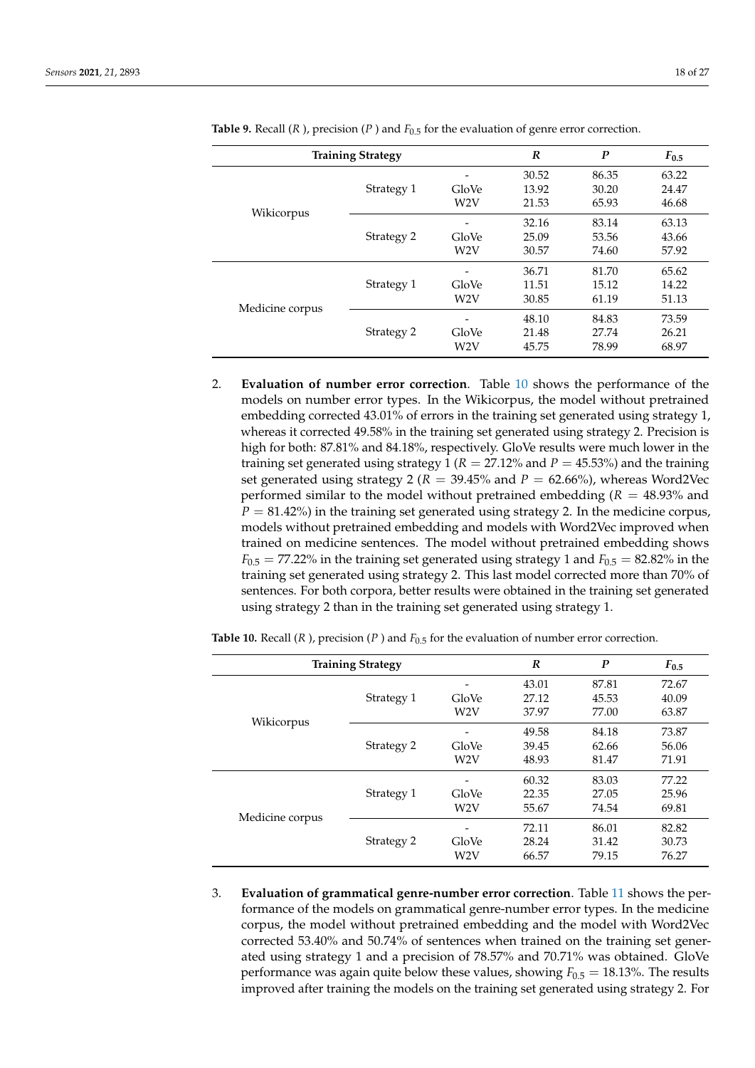| <b>Training Strategy</b> |            |                                                       | $\boldsymbol{R}$        | $\boldsymbol{P}$        | $F_{0.5}$               |
|--------------------------|------------|-------------------------------------------------------|-------------------------|-------------------------|-------------------------|
|                          | Strategy 1 | $\overline{\phantom{0}}$<br>GloVe<br>W <sub>2</sub> V | 30.52<br>13.92<br>21.53 | 86.35<br>30.20<br>65.93 | 63.22<br>24.47<br>46.68 |
| Wikicorpus               | Strategy 2 | GloVe<br>W <sub>2</sub> V                             | 32.16<br>25.09<br>30.57 | 83.14<br>53.56<br>74.60 | 63.13<br>43.66<br>57.92 |
| Medicine corpus          | Strategy 1 | GloVe<br>W <sub>2</sub> V                             | 36.71<br>11.51<br>30.85 | 81.70<br>15.12<br>61.19 | 65.62<br>14.22<br>51.13 |
|                          | Strategy 2 | GloVe<br>W <sub>2</sub> V                             | 48.10<br>21.48<br>45.75 | 84.83<br>27.74<br>78.99 | 73.59<br>26.21<br>68.97 |

<span id="page-17-0"></span>**Table 9.** Recall (*R* ), precision (*P* ) and *F*0.5 for the evaluation of genre error correction.

2. **Evaluation of number error correction**. Table [10](#page-17-1) shows the performance of the models on number error types. In the Wikicorpus, the model without pretrained embedding corrected 43.01% of errors in the training set generated using strategy 1, whereas it corrected 49.58% in the training set generated using strategy 2. Precision is high for both: 87.81% and 84.18%, respectively. GloVe results were much lower in the training set generated using strategy 1 ( $R = 27.12\%$  and  $P = 45.53\%$ ) and the training set generated using strategy 2 ( $R = 39.45\%$  and  $P = 62.66\%$ ), whereas Word2Vec performed similar to the model without pretrained embedding  $(R = 48.93\%$  and  $P = 81.42\%$ ) in the training set generated using strategy 2. In the medicine corpus, models without pretrained embedding and models with Word2Vec improved when trained on medicine sentences. The model without pretrained embedding shows  $F_{0.5} = 77.22\%$  in the training set generated using strategy 1 and  $F_{0.5} = 82.82\%$  in the training set generated using strategy 2. This last model corrected more than 70% of sentences. For both corpora, better results were obtained in the training set generated using strategy 2 than in the training set generated using strategy 1.

|                 | <b>Training Strategy</b> |                  |       | $\boldsymbol{P}$ | $F_{0.5}$ |
|-----------------|--------------------------|------------------|-------|------------------|-----------|
|                 |                          |                  | 43.01 | 87.81            | 72.67     |
|                 | Strategy 1               | GloVe            | 27.12 | 45.53            | 40.09     |
| Wikicorpus      |                          | W <sub>2</sub> V | 37.97 | 77.00            | 63.87     |
|                 |                          | -                | 49.58 | 84.18            | 73.87     |
|                 | Strategy 2               | GloVe            | 39.45 | 62.66            | 56.06     |
|                 |                          | W <sub>2</sub> V | 48.93 | 81.47            | 71.91     |
|                 | Strategy 1               |                  | 60.32 | 83.03            | 77.22     |
|                 |                          | GloVe            | 22.35 | 27.05            | 25.96     |
|                 |                          | W <sub>2</sub> V | 55.67 | 74.54            | 69.81     |
| Medicine corpus |                          |                  | 72.11 | 86.01            | 82.82     |
|                 | Strategy 2               | GloVe            | 28.24 | 31.42            | 30.73     |
|                 |                          | W <sub>2</sub> V | 66.57 | 79.15            | 76.27     |

<span id="page-17-1"></span>**Table 10.** Recall (*R* ), precision (*P* ) and *F*0.5 for the evaluation of number error correction.

3. **Evaluation of grammatical genre-number error correction**. Table [11](#page-18-0) shows the performance of the models on grammatical genre-number error types. In the medicine corpus, the model without pretrained embedding and the model with Word2Vec corrected 53.40% and 50.74% of sentences when trained on the training set generated using strategy 1 and a precision of 78.57% and 70.71% was obtained. GloVe performance was again quite below these values, showing *F*0.5 = 18.13%. The results improved after training the models on the training set generated using strategy 2. For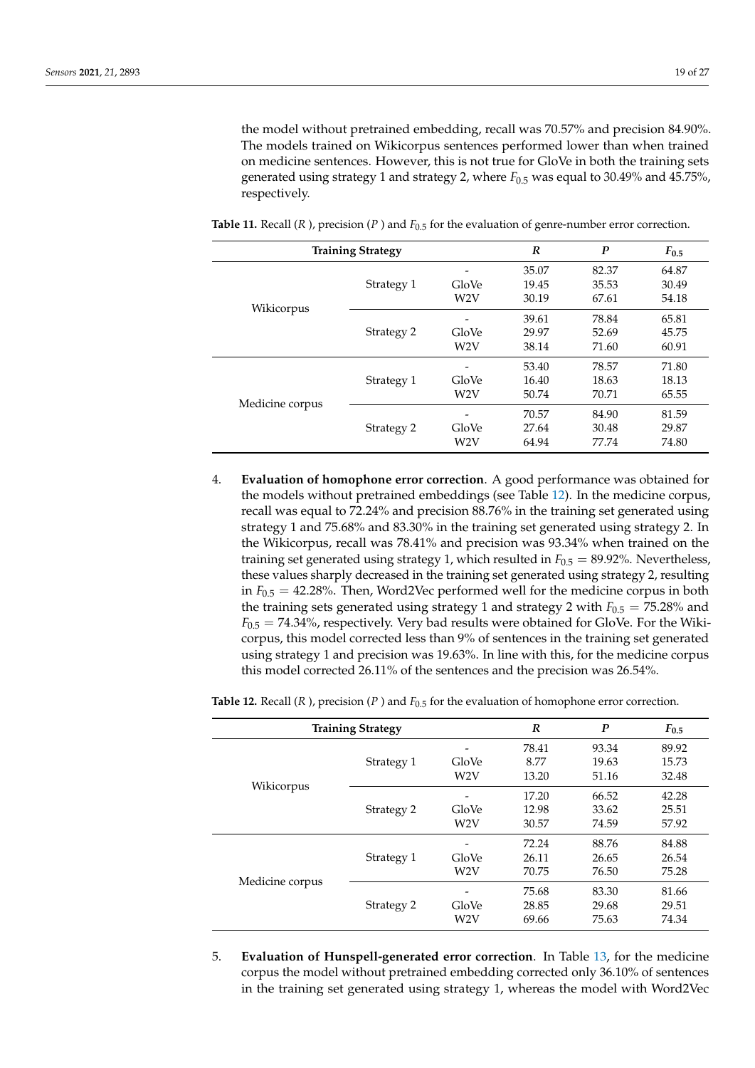the model without pretrained embedding, recall was 70.57% and precision 84.90%. The models trained on Wikicorpus sentences performed lower than when trained on medicine sentences. However, this is not true for GloVe in both the training sets generated using strategy 1 and strategy 2, where *F*0.5 was equal to 30.49% and 45.75%, respectively.

|                 | <b>Training Strategy</b> |                  |       | $\boldsymbol{P}$ | $F_{0.5}$ |
|-----------------|--------------------------|------------------|-------|------------------|-----------|
|                 |                          | -                | 35.07 | 82.37            | 64.87     |
|                 | Strategy 1               | GloVe            | 19.45 | 35.53            | 30.49     |
| Wikicorpus      |                          | W <sub>2</sub> V | 30.19 | 67.61            | 54.18     |
|                 |                          | $\overline{a}$   | 39.61 | 78.84            | 65.81     |
|                 | Strategy 2               | GloVe            | 29.97 | 52.69            | 45.75     |
|                 |                          | W <sub>2</sub> V | 38.14 | 71.60            | 60.91     |
|                 | Strategy 1               |                  | 53.40 | 78.57            | 71.80     |
|                 |                          | GloVe            | 16.40 | 18.63            | 18.13     |
|                 |                          | W <sub>2</sub> V | 50.74 | 70.71            | 65.55     |
| Medicine corpus |                          |                  | 70.57 | 84.90            | 81.59     |
|                 | Strategy 2               | GloVe            | 27.64 | 30.48            | 29.87     |
|                 |                          | W2V              | 64.94 | 77.74            | 74.80     |

<span id="page-18-0"></span>**Table 11.** Recall (*R* ), precision (*P* ) and *F*0.5 for the evaluation of genre-number error correction.

4. **Evaluation of homophone error correction**. A good performance was obtained for the models without pretrained embeddings (see Table [12\)](#page-18-1). In the medicine corpus, recall was equal to 72.24% and precision 88.76% in the training set generated using strategy 1 and 75.68% and 83.30% in the training set generated using strategy 2. In the Wikicorpus, recall was 78.41% and precision was 93.34% when trained on the training set generated using strategy 1, which resulted in *F*0.5 = 89.92%. Nevertheless, these values sharply decreased in the training set generated using strategy 2, resulting in  $F_{0.5} = 42.28\%$ . Then, Word2Vec performed well for the medicine corpus in both the training sets generated using strategy 1 and strategy 2 with  $F_{0.5} = 75.28\%$  and  $F_{0.5} = 74.34\%$ , respectively. Very bad results were obtained for GloVe. For the Wikicorpus, this model corrected less than 9% of sentences in the training set generated using strategy 1 and precision was 19.63%. In line with this, for the medicine corpus this model corrected 26.11% of the sentences and the precision was 26.54%.

|                 | <b>Training Strategy</b> |                  |       | $\boldsymbol{P}$ | $F_{0.5}$ |
|-----------------|--------------------------|------------------|-------|------------------|-----------|
|                 |                          |                  | 78.41 | 93.34            | 89.92     |
|                 | Strategy 1               | GloVe            | 8.77  | 19.63            | 15.73     |
|                 |                          | W <sub>2</sub> V | 13.20 | 51.16            | 32.48     |
| Wikicorpus      |                          |                  | 17.20 | 66.52            | 42.28     |
|                 | Strategy 2               | GloVe            | 12.98 | 33.62            | 25.51     |
|                 |                          | W <sub>2</sub> V | 30.57 | 74.59            | 57.92     |
|                 |                          |                  | 72.24 | 88.76            | 84.88     |
|                 | Strategy 1               | GloVe            | 26.11 | 26.65            | 26.54     |
|                 |                          | W <sub>2</sub> V | 70.75 | 76.50            | 75.28     |
| Medicine corpus |                          |                  | 75.68 | 83.30            | 81.66     |
|                 | Strategy 2               | GloVe            | 28.85 | 29.68            | 29.51     |

<span id="page-18-1"></span>**Table 12.** Recall (*R* ), precision (*P* ) and *F*0.5 for the evaluation of homophone error correction.

5. **Evaluation of Hunspell-generated error correction**. In Table [13,](#page-19-0) for the medicine corpus the model without pretrained embedding corrected only 36.10% of sentences in the training set generated using strategy 1, whereas the model with Word2Vec

W2V 69.66 75.63 74.34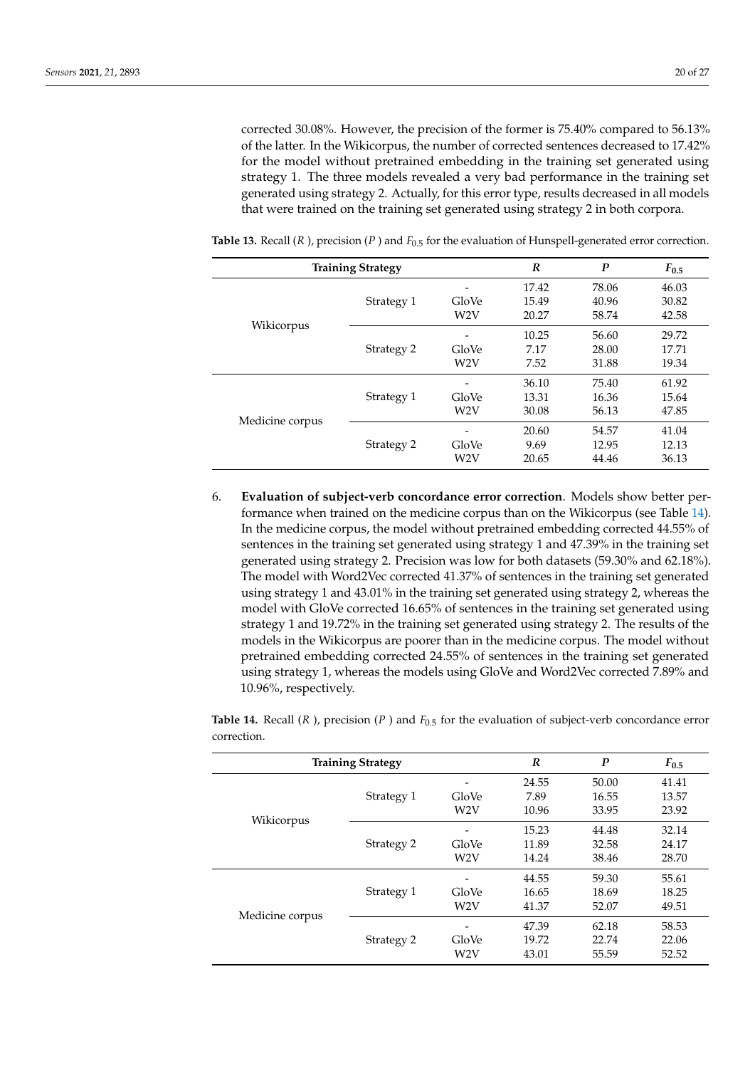corrected 30.08%. However, the precision of the former is 75.40% compared to 56.13% of the latter. In the Wikicorpus, the number of corrected sentences decreased to 17.42% for the model without pretrained embedding in the training set generated using strategy 1. The three models revealed a very bad performance in the training set generated using strategy 2. Actually, for this error type, results decreased in all models that were trained on the training set generated using strategy 2 in both corpora.

|                 | <b>Training Strategy</b> |                  | $\boldsymbol{R}$ | $\boldsymbol{P}$ | $F_{0.5}$ |
|-----------------|--------------------------|------------------|------------------|------------------|-----------|
| Wikicorpus      | Strategy 1               |                  | 17.42            | 78.06            | 46.03     |
|                 |                          | GloVe            | 15.49            | 40.96            | 30.82     |
|                 |                          | W <sub>2</sub> V | 20.27            | 58.74            | 42.58     |
|                 | Strategy 2               | -                | 10.25            | 56.60            | 29.72     |
|                 |                          | GloVe            | 7.17             | 28.00            | 17.71     |
|                 |                          | W <sub>2</sub> V | 7.52             | 31.88            | 19.34     |
| Medicine corpus | Strategy 1               |                  | 36.10            | 75.40            | 61.92     |
|                 |                          | GloVe            | 13.31            | 16.36            | 15.64     |
|                 |                          | W <sub>2</sub> V | 30.08            | 56.13            | 47.85     |
|                 | Strategy 2               | -                | 20.60            | 54.57            | 41.04     |
|                 |                          | GloVe            | 9.69             | 12.95            | 12.13     |
|                 |                          | W <sub>2</sub> V | 20.65            | 44.46            | 36.13     |

<span id="page-19-0"></span>**Table 13.** Recall (*R* ), precision (*P* ) and *F*0.5 for the evaluation of Hunspell-generated error correction.

6. **Evaluation of subject-verb concordance error correction**. Models show better performance when trained on the medicine corpus than on the Wikicorpus (see Table [14\)](#page-19-1). In the medicine corpus, the model without pretrained embedding corrected 44.55% of sentences in the training set generated using strategy 1 and 47.39% in the training set generated using strategy 2. Precision was low for both datasets (59.30% and 62.18%). The model with Word2Vec corrected 41.37% of sentences in the training set generated using strategy 1 and 43.01% in the training set generated using strategy 2, whereas the model with GloVe corrected 16.65% of sentences in the training set generated using strategy 1 and 19.72% in the training set generated using strategy 2. The results of the models in the Wikicorpus are poorer than in the medicine corpus. The model without pretrained embedding corrected 24.55% of sentences in the training set generated using strategy 1, whereas the models using GloVe and Word2Vec corrected 7.89% and 10.96%, respectively.

<span id="page-19-1"></span>**Table 14.** Recall ( $R$ ), precision ( $P$ ) and  $F_{0.5}$  for the evaluation of subject-verb concordance error correction.

|                 | <b>Training Strategy</b>                                  |                          | $\boldsymbol{R}$ | $\boldsymbol{P}$ | $F_{0.5}$ |
|-----------------|-----------------------------------------------------------|--------------------------|------------------|------------------|-----------|
|                 |                                                           | $\overline{\phantom{0}}$ | 24.55            | 50.00            | 41.41     |
|                 | Strategy 1                                                | GloVe                    | 7.89             | 16.55            | 13.57     |
| Wikicorpus      |                                                           | W <sub>2</sub> V         | 10.96            | 33.95            | 23.92     |
|                 | Strategy 2                                                |                          | 15.23            | 44.48            | 32.14     |
|                 |                                                           | GloVe                    | 11.89            | 32.58            | 24.17     |
|                 |                                                           | W <sub>2</sub> V         | 14.24            | 38.46            | 28.70     |
|                 | $\overline{ }$<br>Strategy 1<br>GloVe<br>W <sub>2</sub> V |                          | 44.55            | 59.30            | 55.61     |
|                 |                                                           |                          | 16.65            | 18.69            | 18.25     |
|                 |                                                           | 41.37                    | 52.07            | 49.51            |           |
| Medicine corpus | Strategy 2                                                |                          | 47.39            | 62.18            | 58.53     |
|                 |                                                           | GloVe                    | 19.72            | 22.74            | 22.06     |
|                 |                                                           | W <sub>2</sub> V         | 43.01            | 55.59            | 52.52     |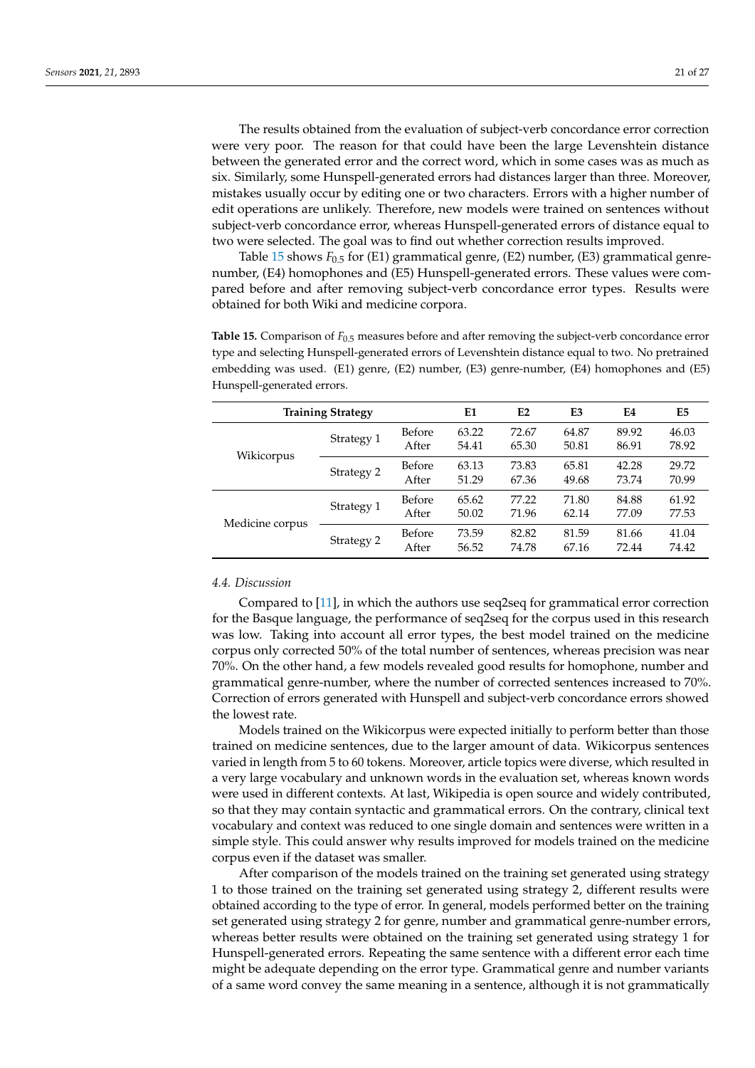The results obtained from the evaluation of subject-verb concordance error correction were very poor. The reason for that could have been the large Levenshtein distance between the generated error and the correct word, which in some cases was as much as six. Similarly, some Hunspell-generated errors had distances larger than three. Moreover, mistakes usually occur by editing one or two characters. Errors with a higher number of edit operations are unlikely. Therefore, new models were trained on sentences without subject-verb concordance error, whereas Hunspell-generated errors of distance equal to two were selected. The goal was to find out whether correction results improved.

Table [15](#page-20-0) shows  $F_{0.5}$  for (E1) grammatical genre, (E2) number, (E3) grammatical genrenumber, (E4) homophones and (E5) Hunspell-generated errors. These values were compared before and after removing subject-verb concordance error types. Results were obtained for both Wiki and medicine corpora.

| <b>Training Strategy</b> |            |                        | E1             | E2             | E <sub>3</sub> | E4             | E5             |
|--------------------------|------------|------------------------|----------------|----------------|----------------|----------------|----------------|
| Wikicorpus               | Strategy 1 | Before<br>After        | 63.22<br>54.41 | 72.67<br>65.30 | 64.87<br>50.81 | 89.92<br>86.91 | 46.03<br>78.92 |
|                          | Strategy 2 | Before<br>After        | 63.13<br>51.29 | 73.83<br>67.36 | 65.81<br>49.68 | 42.28<br>73.74 | 29.72<br>70.99 |
| Medicine corpus          | Strategy 1 | Before<br>After        | 65.62<br>50.02 | 77.22<br>71.96 | 71.80<br>62.14 | 84.88<br>77.09 | 61.92<br>77.53 |
|                          | Strategy 2 | <b>Before</b><br>After | 73.59<br>56.52 | 82.82<br>74.78 | 81.59<br>67.16 | 81.66<br>72.44 | 41.04<br>74.42 |

<span id="page-20-0"></span>**Table 15.** Comparison of *F*0.5 measures before and after removing the subject-verb concordance error type and selecting Hunspell-generated errors of Levenshtein distance equal to two. No pretrained embedding was used. (E1) genre, (E2) number, (E3) genre-number, (E4) homophones and (E5) Hunspell-generated errors.

#### *4.4. Discussion*

Compared to [\[11\]](#page-24-10), in which the authors use seq2seq for grammatical error correction for the Basque language, the performance of seq2seq for the corpus used in this research was low. Taking into account all error types, the best model trained on the medicine corpus only corrected 50% of the total number of sentences, whereas precision was near 70%. On the other hand, a few models revealed good results for homophone, number and grammatical genre-number, where the number of corrected sentences increased to 70%. Correction of errors generated with Hunspell and subject-verb concordance errors showed the lowest rate.

Models trained on the Wikicorpus were expected initially to perform better than those trained on medicine sentences, due to the larger amount of data. Wikicorpus sentences varied in length from 5 to 60 tokens. Moreover, article topics were diverse, which resulted in a very large vocabulary and unknown words in the evaluation set, whereas known words were used in different contexts. At last, Wikipedia is open source and widely contributed, so that they may contain syntactic and grammatical errors. On the contrary, clinical text vocabulary and context was reduced to one single domain and sentences were written in a simple style. This could answer why results improved for models trained on the medicine corpus even if the dataset was smaller.

After comparison of the models trained on the training set generated using strategy 1 to those trained on the training set generated using strategy 2, different results were obtained according to the type of error. In general, models performed better on the training set generated using strategy 2 for genre, number and grammatical genre-number errors, whereas better results were obtained on the training set generated using strategy 1 for Hunspell-generated errors. Repeating the same sentence with a different error each time might be adequate depending on the error type. Grammatical genre and number variants of a same word convey the same meaning in a sentence, although it is not grammatically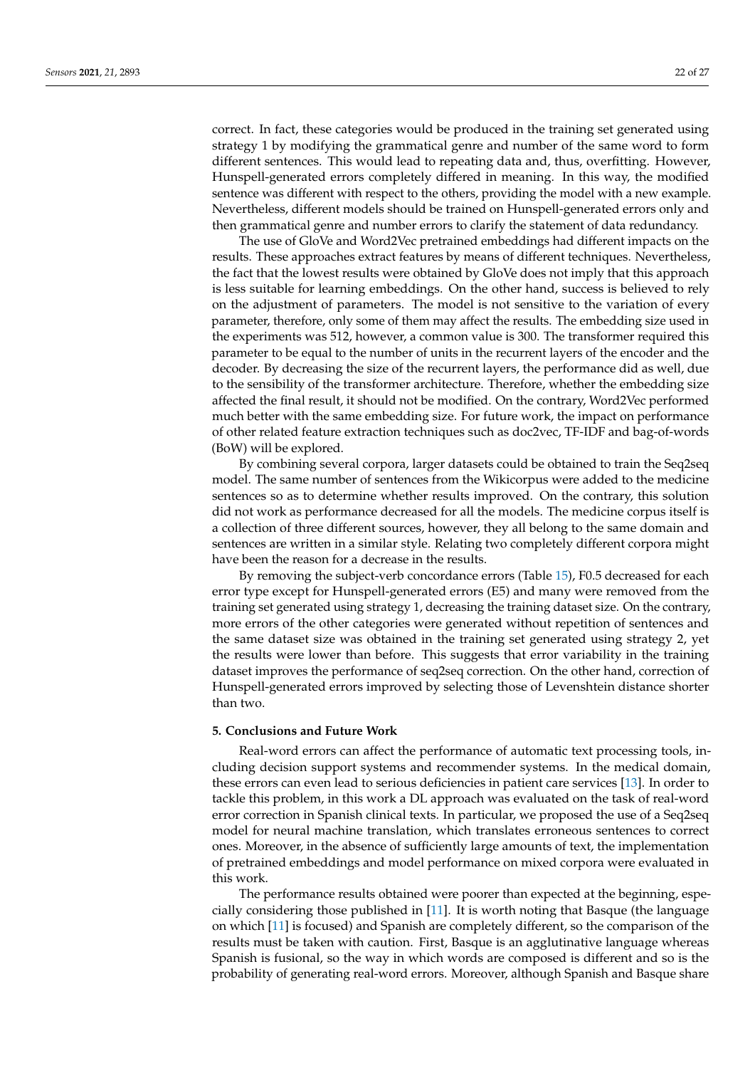correct. In fact, these categories would be produced in the training set generated using strategy 1 by modifying the grammatical genre and number of the same word to form different sentences. This would lead to repeating data and, thus, overfitting. However, Hunspell-generated errors completely differed in meaning. In this way, the modified sentence was different with respect to the others, providing the model with a new example. Nevertheless, different models should be trained on Hunspell-generated errors only and then grammatical genre and number errors to clarify the statement of data redundancy.

The use of GloVe and Word2Vec pretrained embeddings had different impacts on the results. These approaches extract features by means of different techniques. Nevertheless, the fact that the lowest results were obtained by GloVe does not imply that this approach is less suitable for learning embeddings. On the other hand, success is believed to rely on the adjustment of parameters. The model is not sensitive to the variation of every parameter, therefore, only some of them may affect the results. The embedding size used in the experiments was 512, however, a common value is 300. The transformer required this parameter to be equal to the number of units in the recurrent layers of the encoder and the decoder. By decreasing the size of the recurrent layers, the performance did as well, due to the sensibility of the transformer architecture. Therefore, whether the embedding size affected the final result, it should not be modified. On the contrary, Word2Vec performed much better with the same embedding size. For future work, the impact on performance of other related feature extraction techniques such as doc2vec, TF-IDF and bag-of-words (BoW) will be explored.

By combining several corpora, larger datasets could be obtained to train the Seq2seq model. The same number of sentences from the Wikicorpus were added to the medicine sentences so as to determine whether results improved. On the contrary, this solution did not work as performance decreased for all the models. The medicine corpus itself is a collection of three different sources, however, they all belong to the same domain and sentences are written in a similar style. Relating two completely different corpora might have been the reason for a decrease in the results.

By removing the subject-verb concordance errors (Table [15\)](#page-20-0), F0.5 decreased for each error type except for Hunspell-generated errors (E5) and many were removed from the training set generated using strategy 1, decreasing the training dataset size. On the contrary, more errors of the other categories were generated without repetition of sentences and the same dataset size was obtained in the training set generated using strategy 2, yet the results were lower than before. This suggests that error variability in the training dataset improves the performance of seq2seq correction. On the other hand, correction of Hunspell-generated errors improved by selecting those of Levenshtein distance shorter than two.

#### <span id="page-21-0"></span>**5. Conclusions and Future Work**

Real-word errors can affect the performance of automatic text processing tools, including decision support systems and recommender systems. In the medical domain, these errors can even lead to serious deficiencies in patient care services [\[13\]](#page-24-12). In order to tackle this problem, in this work a DL approach was evaluated on the task of real-word error correction in Spanish clinical texts. In particular, we proposed the use of a Seq2seq model for neural machine translation, which translates erroneous sentences to correct ones. Moreover, in the absence of sufficiently large amounts of text, the implementation of pretrained embeddings and model performance on mixed corpora were evaluated in this work.

The performance results obtained were poorer than expected at the beginning, especially considering those published in [\[11\]](#page-24-10). It is worth noting that Basque (the language on which [\[11\]](#page-24-10) is focused) and Spanish are completely different, so the comparison of the results must be taken with caution. First, Basque is an agglutinative language whereas Spanish is fusional, so the way in which words are composed is different and so is the probability of generating real-word errors. Moreover, although Spanish and Basque share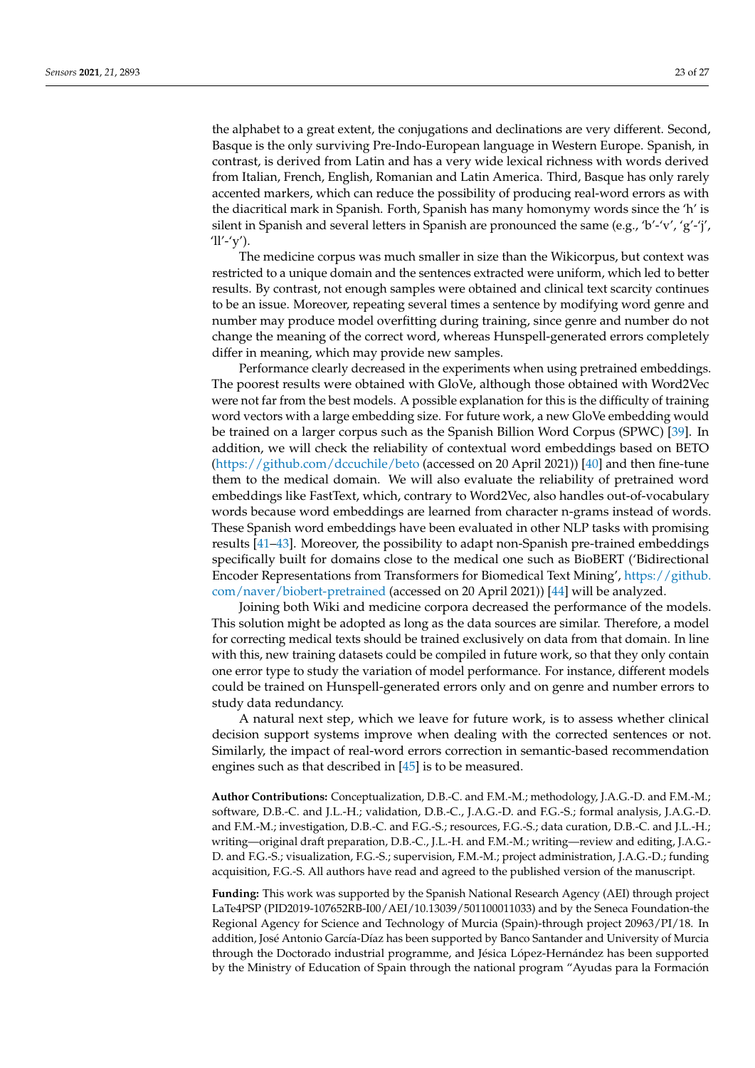the alphabet to a great extent, the conjugations and declinations are very different. Second, Basque is the only surviving Pre-Indo-European language in Western Europe. Spanish, in contrast, is derived from Latin and has a very wide lexical richness with words derived from Italian, French, English, Romanian and Latin America. Third, Basque has only rarely accented markers, which can reduce the possibility of producing real-word errors as with the diacritical mark in Spanish. Forth, Spanish has many homonymy words since the 'h' is silent in Spanish and several letters in Spanish are pronounced the same (e.g., 'b'-'v', 'g'-'j', 'll'-'y').

The medicine corpus was much smaller in size than the Wikicorpus, but context was restricted to a unique domain and the sentences extracted were uniform, which led to better results. By contrast, not enough samples were obtained and clinical text scarcity continues to be an issue. Moreover, repeating several times a sentence by modifying word genre and number may produce model overfitting during training, since genre and number do not change the meaning of the correct word, whereas Hunspell-generated errors completely differ in meaning, which may provide new samples.

Performance clearly decreased in the experiments when using pretrained embeddings. The poorest results were obtained with GloVe, although those obtained with Word2Vec were not far from the best models. A possible explanation for this is the difficulty of training word vectors with a large embedding size. For future work, a new GloVe embedding would be trained on a larger corpus such as the Spanish Billion Word Corpus (SPWC) [\[39\]](#page-26-7). In addition, we will check the reliability of contextual word embeddings based on BETO [\(https://github.com/dccuchile/beto](https://github.com/dccuchile/beto) (accessed on 20 April 2021)) [\[40\]](#page-26-8) and then fine-tune them to the medical domain. We will also evaluate the reliability of pretrained word embeddings like FastText, which, contrary to Word2Vec, also handles out-of-vocabulary words because word embeddings are learned from character n-grams instead of words. These Spanish word embeddings have been evaluated in other NLP tasks with promising results [\[41–](#page-26-9)[43\]](#page-26-10). Moreover, the possibility to adapt non-Spanish pre-trained embeddings specifically built for domains close to the medical one such as BioBERT ('Bidirectional Encoder Representations from Transformers for Biomedical Text Mining', [https://github.](https://github.com/naver/biobert-pretrained) [com/naver/biobert-pretrained](https://github.com/naver/biobert-pretrained) (accessed on 20 April 2021)) [\[44\]](#page-26-11) will be analyzed.

Joining both Wiki and medicine corpora decreased the performance of the models. This solution might be adopted as long as the data sources are similar. Therefore, a model for correcting medical texts should be trained exclusively on data from that domain. In line with this, new training datasets could be compiled in future work, so that they only contain one error type to study the variation of model performance. For instance, different models could be trained on Hunspell-generated errors only and on genre and number errors to study data redundancy.

A natural next step, which we leave for future work, is to assess whether clinical decision support systems improve when dealing with the corrected sentences or not. Similarly, the impact of real-word errors correction in semantic-based recommendation engines such as that described in [\[45\]](#page-26-12) is to be measured.

**Author Contributions:** Conceptualization, D.B.-C. and F.M.-M.; methodology, J.A.G.-D. and F.M.-M.; software, D.B.-C. and J.L.-H.; validation, D.B.-C., J.A.G.-D. and F.G.-S.; formal analysis, J.A.G.-D. and F.M.-M.; investigation, D.B.-C. and F.G.-S.; resources, F.G.-S.; data curation, D.B.-C. and J.L.-H.; writing—original draft preparation, D.B.-C., J.L.-H. and F.M.-M.; writing—review and editing, J.A.G.- D. and F.G.-S.; visualization, F.G.-S.; supervision, F.M.-M.; project administration, J.A.G.-D.; funding acquisition, F.G.-S. All authors have read and agreed to the published version of the manuscript.

**Funding:** This work was supported by the Spanish National Research Agency (AEI) through project LaTe4PSP (PID2019-107652RB-I00/AEI/10.13039/501100011033) and by the Seneca Foundation-the Regional Agency for Science and Technology of Murcia (Spain)-through project 20963/PI/18. In addition, José Antonio García-Díaz has been supported by Banco Santander and University of Murcia through the Doctorado industrial programme, and Jésica López-Hernández has been supported by the Ministry of Education of Spain through the national program "Ayudas para la Formación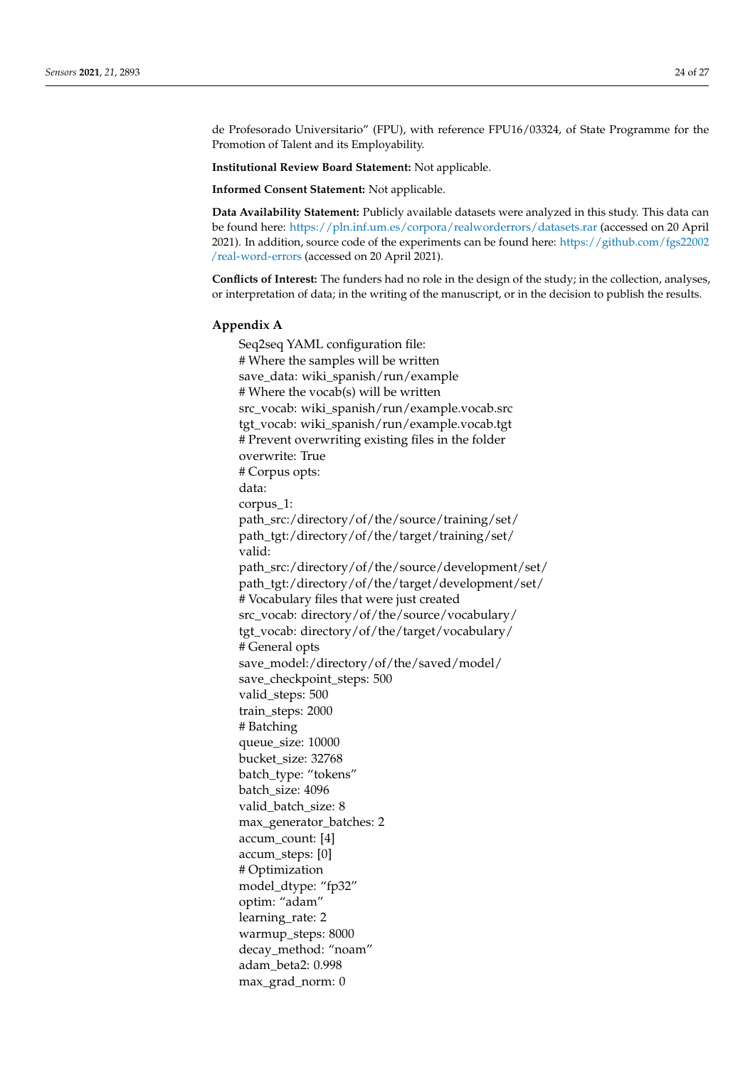de Profesorado Universitario" (FPU), with reference FPU16/03324, of State Programme for the Promotion of Talent and its Employability.

**Institutional Review Board Statement:** Not applicable.

**Informed Consent Statement:** Not applicable.

**Data Availability Statement:** Publicly available datasets were analyzed in this study. This data can be found here: <https://pln.inf.um.es/corpora/realworderrors/datasets.rar> (accessed on 20 April 2021). In addition, source code of the experiments can be found here: [https://github.com/fgs22002](https://github.com/fgs22002/real-word-errors) [/real-word-errors](https://github.com/fgs22002/real-word-errors) (accessed on 20 April 2021).

**Conflicts of Interest:** The funders had no role in the design of the study; in the collection, analyses, or interpretation of data; in the writing of the manuscript, or in the decision to publish the results.

# <span id="page-23-0"></span>**Appendix A**

Seq2seq YAML configuration file: # Where the samples will be written save\_data: wiki\_spanish/run/example # Where the vocab(s) will be written src\_vocab: wiki\_spanish/run/example.vocab.src tgt\_vocab: wiki\_spanish/run/example.vocab.tgt # Prevent overwriting existing files in the folder overwrite: True # Corpus opts: data: corpus\_1: path\_src:/directory/of/the/source/training/set/ path\_tgt:/directory/of/the/target/training/set/ valid: path\_src:/directory/of/the/source/development/set/ path\_tgt:/directory/of/the/target/development/set/ # Vocabulary files that were just created src\_vocab: directory/of/the/source/vocabulary/ tgt\_vocab: directory/of/the/target/vocabulary/ # General opts save\_model:/directory/of/the/saved/model/ save\_checkpoint\_steps: 500 valid\_steps: 500 train\_steps: 2000 # Batching queue\_size: 10000 bucket\_size: 32768 batch\_type: "tokens" batch\_size: 4096 valid\_batch\_size: 8 max\_generator\_batches: 2 accum\_count: [4] accum\_steps: [0] # Optimization model\_dtype: "fp32" optim: "adam" learning\_rate: 2 warmup\_steps: 8000 decay\_method: "noam" adam\_beta2: 0.998 max\_grad\_norm: 0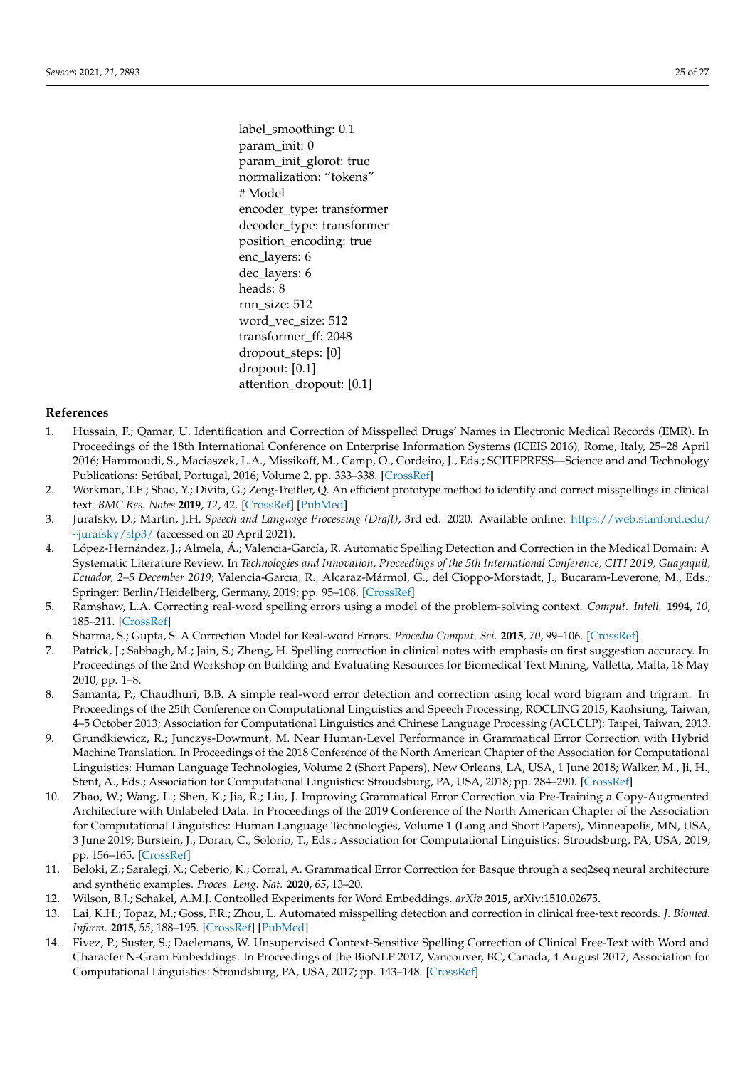label\_smoothing: 0.1 param\_init: 0 param\_init\_glorot: true normalization: "tokens" # Model encoder\_type: transformer decoder\_type: transformer position\_encoding: true enc\_layers: 6 dec\_layers: 6 heads: 8 rnn\_size: 512 word\_vec\_size: 512 transformer\_ff: 2048 dropout\_steps: [0] dropout: [0.1] attention\_dropout: [0.1]

# **References**

- <span id="page-24-0"></span>1. Hussain, F.; Qamar, U. Identification and Correction of Misspelled Drugs' Names in Electronic Medical Records (EMR). In Proceedings of the 18th International Conference on Enterprise Information Systems (ICEIS 2016), Rome, Italy, 25–28 April 2016; Hammoudi, S., Maciaszek, L.A., Missikoff, M., Camp, O., Cordeiro, J., Eds.; SCITEPRESS—Science and and Technology Publications: Setúbal, Portugal, 2016; Volume 2, pp. 333–338. [\[CrossRef\]](http://doi.org/10.5220/0005911503330338)
- <span id="page-24-1"></span>2. Workman, T.E.; Shao, Y.; Divita, G.; Zeng-Treitler, Q. An efficient prototype method to identify and correct misspellings in clinical text. *BMC Res. Notes* **2019**, *12*, 42. [\[CrossRef\]](http://doi.org/10.1186/s13104-019-4073-y) [\[PubMed\]](http://www.ncbi.nlm.nih.gov/pubmed/30658682)
- <span id="page-24-2"></span>3. Jurafsky, D.; Martin, J.H. *Speech and Language Processing (Draft)*, 3rd ed. 2020. Available online: [https://web.stanford.edu/](https://web.stanford.edu/~jurafsky/slp3/)  $\sim$ jurafsky/slp3/ (accessed on 20 April 2021).
- <span id="page-24-3"></span>4. López-Hernández, J.; Almela, Á.; Valencia-García, R. Automatic Spelling Detection and Correction in the Medical Domain: A Systematic Literature Review. In *Technologies and Innovation, Proceedings of the 5th International Conference, CITI 2019, Guayaquil, Ecuador, 2–5 December 2019*; Valencia-Garcıa, R., Alcaraz-Mármol, G., del Cioppo-Morstadt, J., Bucaram-Leverone, M., Eds.; Springer: Berlin/Heidelberg, Germany, 2019; pp. 95–108. [\[CrossRef\]](http://doi.org/10.1007/978-3-030-34989-9_8)
- <span id="page-24-4"></span>5. Ramshaw, L.A. Correcting real-word spelling errors using a model of the problem-solving context. *Comput. Intell.* **1994**, *10*, 185–211. [\[CrossRef\]](http://doi.org/10.1111/j.1467-8640.1994.tb00163.x)
- <span id="page-24-5"></span>6. Sharma, S.; Gupta, S. A Correction Model for Real-word Errors. *Procedia Comput. Sci.* **2015**, *70*, 99–106. [\[CrossRef\]](http://doi.org/10.1016/j.procs.2015.10.047)
- <span id="page-24-6"></span>7. Patrick, J.; Sabbagh, M.; Jain, S.; Zheng, H. Spelling correction in clinical notes with emphasis on first suggestion accuracy. In Proceedings of the 2nd Workshop on Building and Evaluating Resources for Biomedical Text Mining, Valletta, Malta, 18 May 2010; pp. 1–8.
- <span id="page-24-7"></span>8. Samanta, P.; Chaudhuri, B.B. A simple real-word error detection and correction using local word bigram and trigram. In Proceedings of the 25th Conference on Computational Linguistics and Speech Processing, ROCLING 2015, Kaohsiung, Taiwan, 4–5 October 2013; Association for Computational Linguistics and Chinese Language Processing (ACLCLP): Taipei, Taiwan, 2013.
- <span id="page-24-8"></span>9. Grundkiewicz, R.; Junczys-Dowmunt, M. Near Human-Level Performance in Grammatical Error Correction with Hybrid Machine Translation. In Proceedings of the 2018 Conference of the North American Chapter of the Association for Computational Linguistics: Human Language Technologies, Volume 2 (Short Papers), New Orleans, LA, USA, 1 June 2018; Walker, M., Ji, H., Stent, A., Eds.; Association for Computational Linguistics: Stroudsburg, PA, USA, 2018; pp. 284–290. [\[CrossRef\]](http://doi.org/10.18653/v1/N18-2046)
- <span id="page-24-9"></span>10. Zhao, W.; Wang, L.; Shen, K.; Jia, R.; Liu, J. Improving Grammatical Error Correction via Pre-Training a Copy-Augmented Architecture with Unlabeled Data. In Proceedings of the 2019 Conference of the North American Chapter of the Association for Computational Linguistics: Human Language Technologies, Volume 1 (Long and Short Papers), Minneapolis, MN, USA, 3 June 2019; Burstein, J., Doran, C., Solorio, T., Eds.; Association for Computational Linguistics: Stroudsburg, PA, USA, 2019; pp. 156–165. [\[CrossRef\]](http://doi.org/10.18653/v1/N19-1014)
- <span id="page-24-10"></span>11. Beloki, Z.; Saralegi, X.; Ceberio, K.; Corral, A. Grammatical Error Correction for Basque through a seq2seq neural architecture and synthetic examples. *Proces. Leng. Nat.* **2020**, *65*, 13–20.
- <span id="page-24-11"></span>12. Wilson, B.J.; Schakel, A.M.J. Controlled Experiments for Word Embeddings. *arXiv* **2015**, arXiv:1510.02675.
- <span id="page-24-12"></span>13. Lai, K.H.; Topaz, M.; Goss, F.R.; Zhou, L. Automated misspelling detection and correction in clinical free-text records. *J. Biomed. Inform.* **2015**, *55*, 188–195. [\[CrossRef\]](http://doi.org/10.1016/j.jbi.2015.04.008) [\[PubMed\]](http://www.ncbi.nlm.nih.gov/pubmed/25917057)
- <span id="page-24-13"></span>14. Fivez, P.; Suster, S.; Daelemans, W. Unsupervised Context-Sensitive Spelling Correction of Clinical Free-Text with Word and Character N-Gram Embeddings. In Proceedings of the BioNLP 2017, Vancouver, BC, Canada, 4 August 2017; Association for Computational Linguistics: Stroudsburg, PA, USA, 2017; pp. 143–148. [\[CrossRef\]](http://doi.org/10.18653/v1/W17-2317)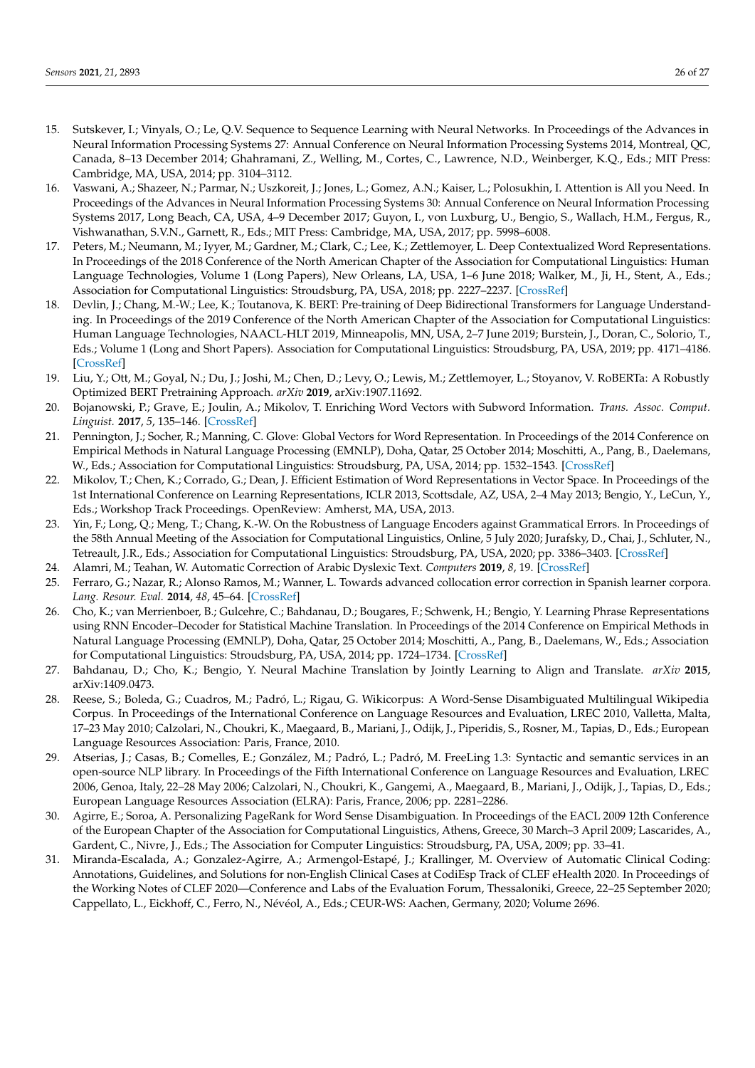- <span id="page-25-0"></span>15. Sutskever, I.; Vinyals, O.; Le, Q.V. Sequence to Sequence Learning with Neural Networks. In Proceedings of the Advances in Neural Information Processing Systems 27: Annual Conference on Neural Information Processing Systems 2014, Montreal, QC, Canada, 8–13 December 2014; Ghahramani, Z., Welling, M., Cortes, C., Lawrence, N.D., Weinberger, K.Q., Eds.; MIT Press: Cambridge, MA, USA, 2014; pp. 3104–3112.
- <span id="page-25-1"></span>16. Vaswani, A.; Shazeer, N.; Parmar, N.; Uszkoreit, J.; Jones, L.; Gomez, A.N.; Kaiser, L.; Polosukhin, I. Attention is All you Need. In Proceedings of the Advances in Neural Information Processing Systems 30: Annual Conference on Neural Information Processing Systems 2017, Long Beach, CA, USA, 4–9 December 2017; Guyon, I., von Luxburg, U., Bengio, S., Wallach, H.M., Fergus, R., Vishwanathan, S.V.N., Garnett, R., Eds.; MIT Press: Cambridge, MA, USA, 2017; pp. 5998–6008.
- <span id="page-25-2"></span>17. Peters, M.; Neumann, M.; Iyyer, M.; Gardner, M.; Clark, C.; Lee, K.; Zettlemoyer, L. Deep Contextualized Word Representations. In Proceedings of the 2018 Conference of the North American Chapter of the Association for Computational Linguistics: Human Language Technologies, Volume 1 (Long Papers), New Orleans, LA, USA, 1–6 June 2018; Walker, M., Ji, H., Stent, A., Eds.; Association for Computational Linguistics: Stroudsburg, PA, USA, 2018; pp. 2227–2237. [\[CrossRef\]](http://doi.org/10.18653/v1/N18-1202)
- <span id="page-25-3"></span>Devlin, J.; Chang, M.-W.; Lee, K.; Toutanova, K. BERT: Pre-training of Deep Bidirectional Transformers for Language Understanding. In Proceedings of the 2019 Conference of the North American Chapter of the Association for Computational Linguistics: Human Language Technologies, NAACL-HLT 2019, Minneapolis, MN, USA, 2–7 June 2019; Burstein, J., Doran, C., Solorio, T., Eds.; Volume 1 (Long and Short Papers). Association for Computational Linguistics: Stroudsburg, PA, USA, 2019; pp. 4171–4186. [\[CrossRef\]](http://doi.org/10.18653/v1/N19-1423)
- <span id="page-25-4"></span>19. Liu, Y.; Ott, M.; Goyal, N.; Du, J.; Joshi, M.; Chen, D.; Levy, O.; Lewis, M.; Zettlemoyer, L.; Stoyanov, V. RoBERTa: A Robustly Optimized BERT Pretraining Approach. *arXiv* **2019**, arXiv:1907.11692.
- <span id="page-25-5"></span>20. Bojanowski, P.; Grave, E.; Joulin, A.; Mikolov, T. Enriching Word Vectors with Subword Information. *Trans. Assoc. Comput. Linguist.* **2017**, *5*, 135–146. [\[CrossRef\]](http://doi.org/10.1162/tacl_a_00051)
- <span id="page-25-6"></span>21. Pennington, J.; Socher, R.; Manning, C. Glove: Global Vectors for Word Representation. In Proceedings of the 2014 Conference on Empirical Methods in Natural Language Processing (EMNLP), Doha, Qatar, 25 October 2014; Moschitti, A., Pang, B., Daelemans, W., Eds.; Association for Computational Linguistics: Stroudsburg, PA, USA, 2014; pp. 1532–1543. [\[CrossRef\]](http://doi.org/10.3115/v1/D14-1162)
- <span id="page-25-7"></span>22. Mikolov, T.; Chen, K.; Corrado, G.; Dean, J. Efficient Estimation of Word Representations in Vector Space. In Proceedings of the 1st International Conference on Learning Representations, ICLR 2013, Scottsdale, AZ, USA, 2–4 May 2013; Bengio, Y., LeCun, Y., Eds.; Workshop Track Proceedings. OpenReview: Amherst, MA, USA, 2013.
- <span id="page-25-8"></span>23. Yin, F.; Long, Q.; Meng, T.; Chang, K.-W. On the Robustness of Language Encoders against Grammatical Errors. In Proceedings of the 58th Annual Meeting of the Association for Computational Linguistics, Online, 5 July 2020; Jurafsky, D., Chai, J., Schluter, N., Tetreault, J.R., Eds.; Association for Computational Linguistics: Stroudsburg, PA, USA, 2020; pp. 3386–3403. [\[CrossRef\]](http://doi.org/10.18653/v1/2020.acl-main.310)
- <span id="page-25-9"></span>24. Alamri, M.; Teahan, W. Automatic Correction of Arabic Dyslexic Text. *Computers* **2019**, *8*, 19. [\[CrossRef\]](http://doi.org/10.3390/computers8010019)
- <span id="page-25-10"></span>25. Ferraro, G.; Nazar, R.; Alonso Ramos, M.; Wanner, L. Towards advanced collocation error correction in Spanish learner corpora. *Lang. Resour. Eval.* **2014**, *48*, 45–64. [\[CrossRef\]](http://doi.org/10.1007/s10579-013-9242-3)
- <span id="page-25-11"></span>26. Cho, K.; van Merrienboer, B.; Gulcehre, C.; Bahdanau, D.; Bougares, F.; Schwenk, H.; Bengio, Y. Learning Phrase Representations using RNN Encoder–Decoder for Statistical Machine Translation. In Proceedings of the 2014 Conference on Empirical Methods in Natural Language Processing (EMNLP), Doha, Qatar, 25 October 2014; Moschitti, A., Pang, B., Daelemans, W., Eds.; Association for Computational Linguistics: Stroudsburg, PA, USA, 2014; pp. 1724–1734. [\[CrossRef\]](http://doi.org/10.3115/v1/D14-1179)
- <span id="page-25-12"></span>27. Bahdanau, D.; Cho, K.; Bengio, Y. Neural Machine Translation by Jointly Learning to Align and Translate. *arXiv* **2015**, arXiv:1409.0473.
- <span id="page-25-13"></span>28. Reese, S.; Boleda, G.; Cuadros, M.; Padró, L.; Rigau, G. Wikicorpus: A Word-Sense Disambiguated Multilingual Wikipedia Corpus. In Proceedings of the International Conference on Language Resources and Evaluation, LREC 2010, Valletta, Malta, 17–23 May 2010; Calzolari, N., Choukri, K., Maegaard, B., Mariani, J., Odijk, J., Piperidis, S., Rosner, M., Tapias, D., Eds.; European Language Resources Association: Paris, France, 2010.
- <span id="page-25-14"></span>29. Atserias, J.; Casas, B.; Comelles, E.; González, M.; Padró, L.; Padró, M. FreeLing 1.3: Syntactic and semantic services in an open-source NLP library. In Proceedings of the Fifth International Conference on Language Resources and Evaluation, LREC 2006, Genoa, Italy, 22–28 May 2006; Calzolari, N., Choukri, K., Gangemi, A., Maegaard, B., Mariani, J., Odijk, J., Tapias, D., Eds.; European Language Resources Association (ELRA): Paris, France, 2006; pp. 2281–2286.
- <span id="page-25-15"></span>30. Agirre, E.; Soroa, A. Personalizing PageRank for Word Sense Disambiguation. In Proceedings of the EACL 2009 12th Conference of the European Chapter of the Association for Computational Linguistics, Athens, Greece, 30 March–3 April 2009; Lascarides, A., Gardent, C., Nivre, J., Eds.; The Association for Computer Linguistics: Stroudsburg, PA, USA, 2009; pp. 33–41.
- <span id="page-25-16"></span>31. Miranda-Escalada, A.; Gonzalez-Agirre, A.; Armengol-Estapé, J.; Krallinger, M. Overview of Automatic Clinical Coding: Annotations, Guidelines, and Solutions for non-English Clinical Cases at CodiEsp Track of CLEF eHealth 2020. In Proceedings of the Working Notes of CLEF 2020—Conference and Labs of the Evaluation Forum, Thessaloniki, Greece, 22–25 September 2020; Cappellato, L., Eickhoff, C., Ferro, N., Névéol, A., Eds.; CEUR-WS: Aachen, Germany, 2020; Volume 2696.